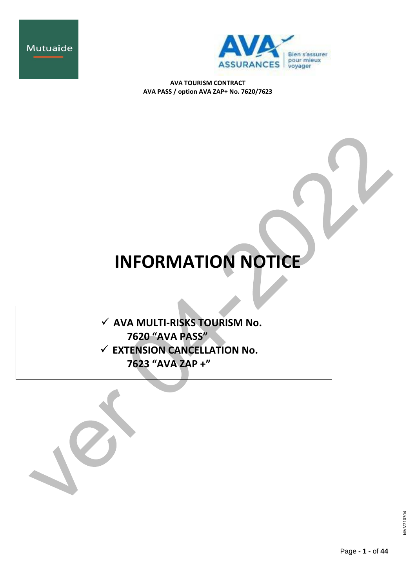



# **INFORMATION NOTICE**

 **AVA MULTI-RISKS TOURISM No. 7620 "AVA PASS" EXTENSION CANCELLATION No. 7623 "AVA ZAP +"**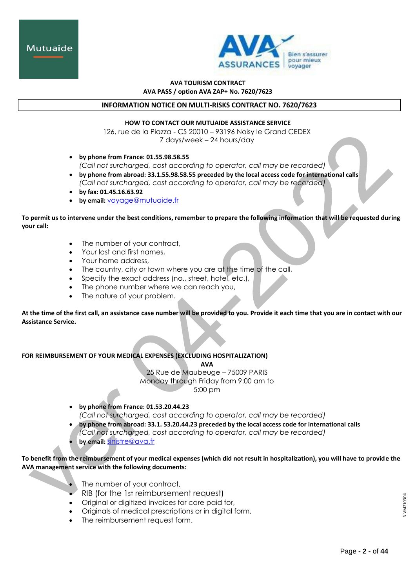



## **INFORMATION NOTICE ON MULTI-RISKS CONTRACT NO. 7620/7623**

#### **HOW TO CONTACT OUR MUTUAIDE ASSISTANCE SERVICE**

126, rue de la Piazza - CS 20010 – 93196 Noisy le Grand CEDEX 7 days/week – 24 hours/day

- **by phone from France: 01.55.98.58.55** *(Call not surcharged, cost according to operator, call may be recorded)*
- **by phone from abroad: 33.1.55.98.58.55 preceded by the local access code for international calls** *(Call not surcharged, cost according to operator, call may be recorded)*
- **by fax: 01.45.16.63.92**
- **by email:** [voyage@mutuaide.fr](mailto:voyage@mutuaide.fr)

**To permit us to intervene under the best conditions, remember to prepare the following information that will be requested during your call:**

- The number of your contract,
- Your last and first names,
- Your home address,
- The country, city or town where you are at the time of the call,
- Specify the exact address (no., street, hotel, etc.),
- The phone number where we can reach you,
- The nature of your problem.

**At the time of the first call, an assistance case number will be provided to you. Provide it each time that you are in contact with our Assistance Service.**

**FOR REIMBURSEMENT OF YOUR MEDICAL EXPENSES (EXCLUDING HOSPITALIZATION)**

**AVA**

25 Rue de Maubeuge – 75009 PARIS Monday through Friday from 9:00 am to 5:00 pm

- **by phone from France: 01.53.20.44.23** *(Call not surcharged, cost according to operator, call may be recorded)*
- **by phone from abroad: 33.1. 53.20.44.23 preceded by the local access code for international calls** *(Call not surcharged, cost according to operator, call may be recorded)* **by email:** [sinistre@ava.fr](mailto:gestion-assurance@mutuaide.fr)

# **To benefit from the reimbursement of your medical expenses (which did not result in hospitalization), you will have to provide the AVA management service with the following documents:**

- The number of your contract,
- RIB (for the 1st reimbursement request)
- Original or digitized invoices for care paid for,
- Originals of medical prescriptions or in digital form,
- The reimbursement request form.

NIVM210304 JIVM21030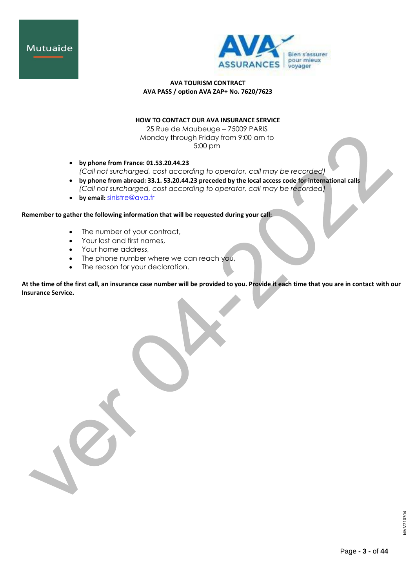



# **HOW TO CONTACT OUR AVA INSURANCE SERVICE**

25 Rue de Maubeuge – 75009 PARIS Monday through Friday from 9:00 am to 5:00 pm

- **by phone from France: 01.53.20.44.23** *(Call not surcharged, cost according to operator, call may be recorded)*
- **by phone from abroad: 33.1. 53.20.44.23 preceded by the local access code for international calls** *(Call not surcharged, cost according to operator, call may be recorded)*
- **by email:** [sinistre@ava.fr](mailto:gestion-assurance@mutuaide.fr)

## **Remember to gather the following information that will be requested during your call:**

- The number of your contract,
- Your last and first names,
- Your home address,
- The phone number where we can reach you,
- The reason for your declaration.

**At the time of the first call, an insurance case number will be provided to you. Provide it each time that you are in contact with our Insurance Service.**

NIVM210304 NIVM210304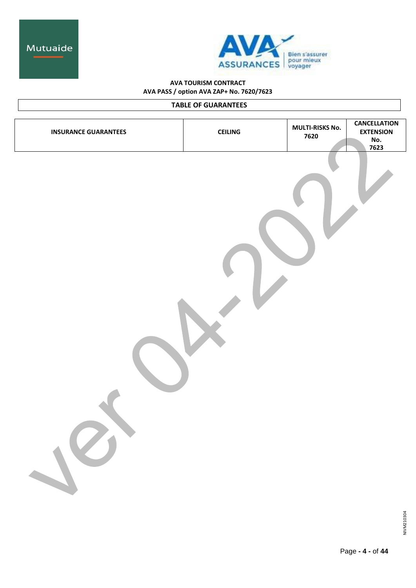



# **TABLE OF GUARANTEES**

| <b>INSURANCE GUARANTEES</b> | <b>CEILING</b> | <b>MULTI-RISKS No.</b><br>7620 | <b>CANCELLATION</b><br><b>EXTENSION</b><br>No.<br>7623 |
|-----------------------------|----------------|--------------------------------|--------------------------------------------------------|
|                             |                |                                |                                                        |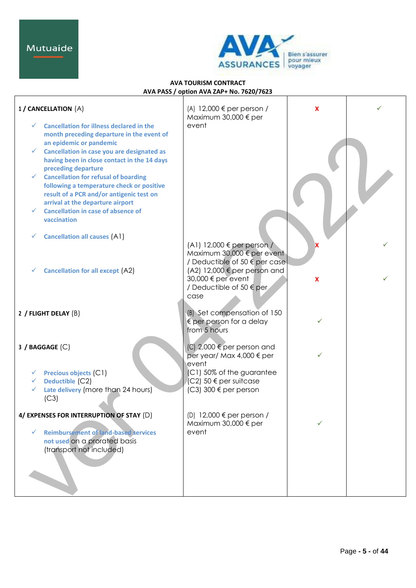

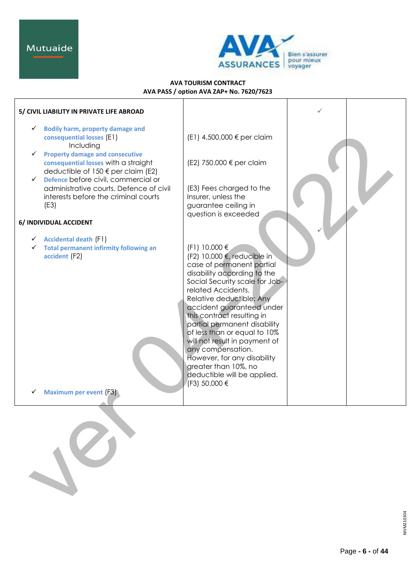

| 5/ CIVIL LIABILITY IN PRIVATE LIFE ABROAD                                                                                                                                        |                                                                                                                                                                                                                                                                                                                                                                                                                                                                                      |  |
|----------------------------------------------------------------------------------------------------------------------------------------------------------------------------------|--------------------------------------------------------------------------------------------------------------------------------------------------------------------------------------------------------------------------------------------------------------------------------------------------------------------------------------------------------------------------------------------------------------------------------------------------------------------------------------|--|
| <b>Bodily harm, property damage and</b><br>✓<br>consequential losses (E1)<br>Including                                                                                           | (E1) 4,500,000 € per claim                                                                                                                                                                                                                                                                                                                                                                                                                                                           |  |
| <b>Property damage and consecutive</b><br>✓<br>consequential losses with a straight<br>deductible of 150 € per claim (E2)<br>Defence before civil, commercial or<br>$\checkmark$ | (E2) 750.000 € per claim                                                                                                                                                                                                                                                                                                                                                                                                                                                             |  |
| administrative courts. Defence of civil<br>interests before the criminal courts<br>(E3)                                                                                          | (E3) Fees charged to the<br>Insurer, unless the<br>guarantee ceiling in                                                                                                                                                                                                                                                                                                                                                                                                              |  |
| 6/ INDIVIDUAL ACCIDENT                                                                                                                                                           | question is exceeded                                                                                                                                                                                                                                                                                                                                                                                                                                                                 |  |
| <b>Accidental death (F1)</b><br>✓<br><b>Total permanent infirmity following an</b><br>accident (F2)                                                                              | (F1) 10.000 €<br>(F2) 10,000 €, reducible in<br>case of permanent partial<br>disability according to the<br>Social Security scale for Job-<br>related Accidents.<br>Relative deductible: Any<br>accident guaranteed under<br>this contract resulting in<br>partial permanent disability<br>of less than or equal to 10%<br>will not result in payment of<br>any compensation.<br>However, for any disability<br>greater than 10%, no<br>deductible will be applied.<br>(F3) 50.000 € |  |
| <b>Maximum per event (F3)</b>                                                                                                                                                    |                                                                                                                                                                                                                                                                                                                                                                                                                                                                                      |  |
|                                                                                                                                                                                  |                                                                                                                                                                                                                                                                                                                                                                                                                                                                                      |  |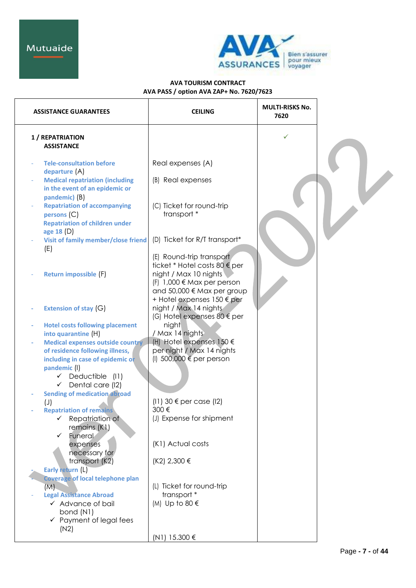

| <b>ASSISTANCE GUARANTEES</b>                                                                                                                                        | <b>CEILING</b>                                                                                                                                       | MULTI-RISKS No.<br>7620 |  |
|---------------------------------------------------------------------------------------------------------------------------------------------------------------------|------------------------------------------------------------------------------------------------------------------------------------------------------|-------------------------|--|
| 1 / REPATRIATION<br><b>ASSISTANCE</b>                                                                                                                               |                                                                                                                                                      |                         |  |
| <b>Tele-consultation before</b>                                                                                                                                     | Real expenses (A)                                                                                                                                    |                         |  |
| departure (A)<br><b>Medical repatriation (including</b><br>in the event of an epidemic or<br>pandemic) (B)                                                          | (B) Real expenses                                                                                                                                    |                         |  |
| <b>Repatriation of accompanying</b><br>persons (C)<br><b>Repatriation of children under</b>                                                                         | (C) Ticket for round-trip<br>transport *                                                                                                             |                         |  |
| age 18 $(D)$<br><b>Visit of family member/close friend</b><br>(E)                                                                                                   | (D) Ticket for R/T transport*                                                                                                                        |                         |  |
| Return impossible (F)                                                                                                                                               | (E) Round-trip transport<br>ticket * Hotel costs 80 € per<br>night / Max 10 nights<br>$(F)$ 1,000 $\in$ Max per person<br>and 50,000 € Max per group |                         |  |
| Extension of stay (G)                                                                                                                                               | + Hotel expenses 150 € per<br>night / Max 14 nights<br>(G) Hotel expenses 80 € per                                                                   |                         |  |
| <b>Hotel costs following placement</b><br>into quarantine (H)                                                                                                       | night<br>/ Max 14 nights                                                                                                                             |                         |  |
| Medical expenses outside country<br>of residence following illness,<br>including in case of epidemic or<br>pandemic (I)<br>Deductible (I1)<br>✓<br>Dental care (12) | (H) Hotel expenses $150 \in$<br>per night / Max 14 nights<br>(I) 500,000 $\epsilon$ per person                                                       |                         |  |
| ✓<br><b>Sending of medication abroad</b>                                                                                                                            |                                                                                                                                                      |                         |  |
| $(\cup)$<br><b>Repatriation of remains</b>                                                                                                                          | $(11)$ 30 $\epsilon$ per case (12)<br>300€                                                                                                           |                         |  |
| Repatriation of<br>$\checkmark$<br>remains (K1)<br>Funeral<br>✓                                                                                                     | (J) Expense for shipment                                                                                                                             |                         |  |
| expenses<br>necessary for                                                                                                                                           | (K1) Actual costs                                                                                                                                    |                         |  |
| transport (K2)<br>Early return (L)                                                                                                                                  | (K2) 2,300 €                                                                                                                                         |                         |  |
| <b>Coverage of local telephone plan</b><br>(M)<br><b>Legal Assistance Abroad</b><br>$\checkmark$ Advance of bail<br>bond (N1)<br>$\checkmark$ Payment of legal fees | (L) Ticket for round-trip<br>transport *<br>(M) Up to 80 €                                                                                           |                         |  |
| (N2)                                                                                                                                                                | (N1) 15.300 €                                                                                                                                        |                         |  |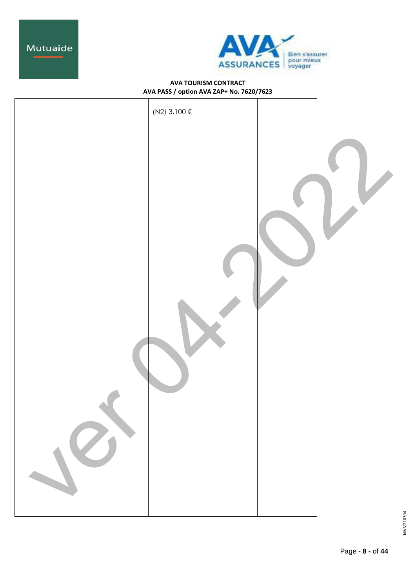



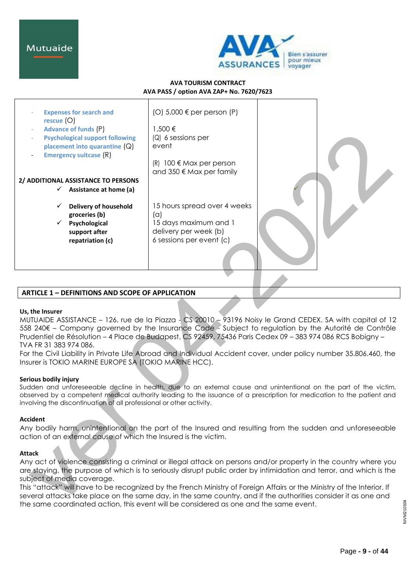

## **AVA TOURISM CONTRACT AVA PASS / option AVA ZAP+ No. 7620/7623**

| <b>Expenses for search and</b><br>rescue $(O)$<br><b>Advance of funds (P)</b><br><b>Psychological support following</b><br>placement into quarantine $(Q)$<br><b>Emergency suitcase (R)</b> | (O) $5,000 \in \text{per person (P)}$<br>1,500 €<br>$(Q)$ 6 sessions per<br>event<br>$100 \in \text{Max per person}$<br>(R)<br>and 350 $\notin$ Max per family |  |
|---------------------------------------------------------------------------------------------------------------------------------------------------------------------------------------------|----------------------------------------------------------------------------------------------------------------------------------------------------------------|--|
| 2/ ADDITIONAL ASSISTANCE TO PERSONS                                                                                                                                                         |                                                                                                                                                                |  |
| Assistance at home (a)<br>$\checkmark$                                                                                                                                                      |                                                                                                                                                                |  |
| <b>Delivery of household</b><br>groceries (b)<br>Psychological<br>support after<br>repatriation (c)                                                                                         | 15 hours spread over 4 weeks<br>(a)<br>15 days maximum and 1<br>delivery per week (b)<br>6 sessions per event (c)                                              |  |

# **ARTICLE 1 – DEFINITIONS AND SCOPE OF APPLICATION**

#### **Us, the Insurer**

MUTUAIDE ASSISTANCE – 126, rue de la Piazza - CS 20010 – 93196 Noisy le Grand CEDEX. SA with capital of 12 558 240€ – Company governed by the Insurance Code - Subject to regulation by the Autorité de Contrôle Prudentiel de Résolution – 4 Place de Budapest, CS 92459, 75436 Paris Cedex 09 – 383 974 086 RCS Bobigny – TVA FR 31 383 974 086.

For the Civil Liability in Private Life Abroad and Individual Accident cover, under policy number 35.806.460, the Insurer is TOKIO MARINE EUROPE SA (TOKIO MARINE HCC).

#### **Serious bodily injury**

Sudden and unforeseeable decline in health, due to an external cause and unintentional on the part of the victim, observed by a competent medical authority leading to the issuance of a prescription for medication to the patient and involving the discontinuation of all professional or other activity.

# **Accident**

Any bodily harm, unintentional on the part of the Insured and resulting from the sudden and unforeseeable action of an external cause of which the Insured is the victim.

# **Attack**

Any act of violence consisting a criminal or illegal attack on persons and/or property in the country where you are staying, the purpose of which is to seriously disrupt public order by intimidation and terror, and which is the subject of media coverage.

This "attack" will have to be recognized by the French Ministry of Foreign Affairs or the Ministry of the Interior. If several attacks take place on the same day, in the same country, and if the authorities consider it as one and the same coordinated action, this event will be considered as one and the same event.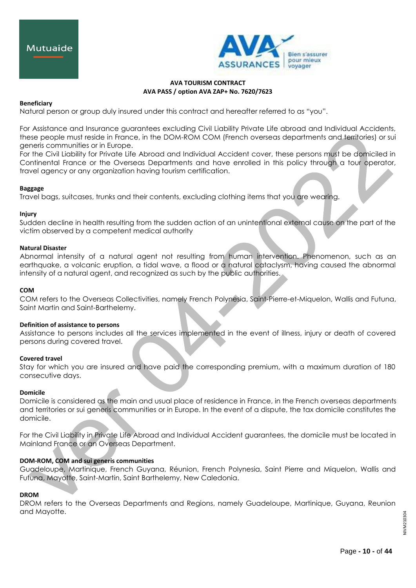

## **Beneficiary**

Natural person or group duly insured under this contract and hereafter referred to as "you".

For Assistance and Insurance guarantees excluding Civil Liability Private Life abroad and Individual Accidents, these people must reside in France, in the DOM-ROM COM (French overseas departments and territories) or sui generis communities or in Europe.

For the Civil Liability for Private Life Abroad and Individual Accident cover, these persons must be domiciled in Continental France or the Overseas Departments and have enrolled in this policy through a tour operator, travel agency or any organization having tourism certification.

## **Baggage**

Travel bags, suitcases, trunks and their contents, excluding clothing items that you are wearing.

## **Injury**

Sudden decline in health resulting from the sudden action of an unintentional external cause on the part of the victim observed by a competent medical authority

## **Natural Disaster**

Abnormal intensity of a natural agent not resulting from human intervention. Phenomenon, such as an earthquake, a volcanic eruption, a tidal wave, a flood or a natural cataclysm, having caused the abnormal intensity of a natural agent, and recognized as such by the public authorities.

#### **COM**

COM refers to the Overseas Collectivities, namely French Polynesia, Saint-Pierre-et-Miquelon, Wallis and Futuna, Saint Martin and Saint-Barthelemy.

# **Definition of assistance to persons**

Assistance to persons includes all the services implemented in the event of illness, injury or death of covered persons during covered travel.

#### **Covered travel**

Stay for which you are insured and have paid the corresponding premium, with a maximum duration of 180 consecutive days.

# **Domicile**

Domicile is considered as the main and usual place of residence in France, in the French overseas departments and territories or sui generis communities or in Europe. In the event of a dispute, the tax domicile constitutes the domicile.

For the Civil Liability in Private Life Abroad and Individual Accident guarantees, the domicile must be located in Mainland France or an Overseas Department.

# **DOM-ROM, COM and sui generis communities**

Guadeloupe, Martinique, French Guyana, Réunion, French Polynesia, Saint Pierre and Miquelon, Wallis and Futuna, Mayotte, Saint-Martin, Saint Barthelemy, New Caledonia.

#### **DROM**

DROM refers to the Overseas Departments and Regions, namely Guadeloupe, Martinique, Guyana, Reunion and Mayotte.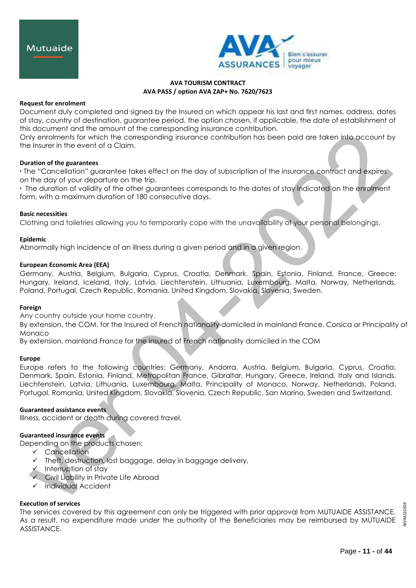

#### **Request for enrolment**

Document duly completed and signed by the Insured on which appear his last and first names, address, dates of stay, country of destination, guarantee period, the option chosen, if applicable, the date of establishment of this document and the amount of the corresponding insurance contribution.

Only enrolments for which the corresponding insurance contribution has been paid are taken into account by the Insurer in the event of a Claim.

## **Duration of the guarantees**

• The "Cancellation" guarantee takes effect on the day of subscription of the insurance contract and expires on the day of your departure on the trip.

• The duration of validity of the other guarantees corresponds to the dates of stay indicated on the enrolment form, with a maximum duration of 180 consecutive days.

## **Basic necessities**

Clothing and toiletries allowing you to temporarily cope with the unavailability of your personal belongings.

## **Epidemic**

Abnormally high incidence of an illness during a given period and in a given region.

## **European Economic Area (EEA)**

Germany, Austria, Belgium, Bulgaria, Cyprus, Croatia, Denmark, Spain, Estonia, Finland, France, Greece; Hungary, Ireland, Iceland, Italy, Latvia, Liechtenstein, Lithuania, Luxembourg, Malta, Norway, Netherlands, Poland, Portugal, Czech Republic, Romania, United Kingdom, Slovakia, Slovenia, Sweden.

#### **Foreign**

Any country outside your home country.

By extension, the COM, for the Insured of French nationality domiciled in mainland France, Corsica or Principality of Monaco

By extension, mainland France for the insured of French nationality domiciled in the COM

#### **Europe**

Europe refers to the following countries: Germany, Andorra, Austria, Belgium, Bulgaria, Cyprus, Croatia, Denmark, Spain, Estonia, Finland, Metropolitan France, Gibraltar, Hungary, Greece, Ireland, Italy and Islands, Liechtenstein, Latvia, Lithuania, Luxembourg, Malta, Principality of Monaco, Norway, Netherlands, Poland, Portugal, Romania, United Kingdom, Slovakia, Slovenia, Czech Republic, San Marino, Sweden and Switzerland.

# **Guaranteed assistance events**

Illness, accident or death during covered travel.

#### **Guaranteed insurance events**

Depending on the products chosen:

- Cancellation
- Theft, destruction, lost baggage, delay in baggage delivery,
- Interruption of stay
- Civil Liability in Private Life Abroad
- $\checkmark$  Individual Accident

# **Execution of services**

The services covered by this agreement can only be triggered with prior approval from MUTUAIDE ASSISTANCE. As a result, no expenditure made under the authority of the Beneficiaries may be reimbursed by MUTUAIDE ASSISTANCE.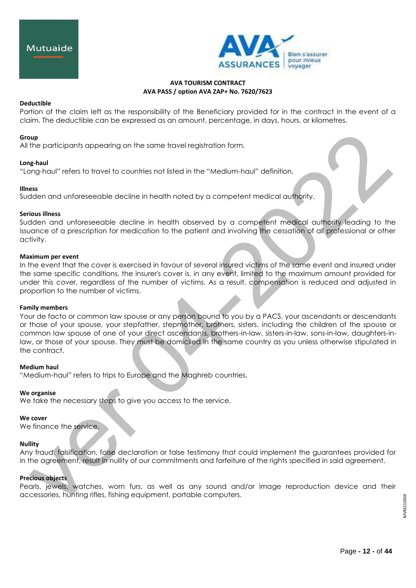

## **Deductible**

Portion of the claim left as the responsibility of the Beneficiary provided for in the contract in the event of a claim. The deductible can be expressed as an amount, percentage, in days, hours, or kilometres.

## **Group**

All the participants appearing on the same travel registration form.

#### **Long-haul**

"Long-haul" refers to travel to countries not listed in the "Medium-haul" definition.

## **Illness**

Sudden and unforeseeable decline in health noted by a competent medical authority.

## **Serious illness**

Sudden and unforeseeable decline in health observed by a competent medical authority leading to the issuance of a prescription for medication to the patient and involving the cessation of all professional or other activity.

## **Maximum per event**

In the event that the cover is exercised in favour of several insured victims of the same event and insured under the same specific conditions, the insurer's cover is, in any event, limited to the maximum amount provided for under this cover, regardless of the number of victims. As a result, compensation is reduced and adjusted in proportion to the number of victims.

#### **Family members**

Your de facto or common law spouse or any person bound to you by a PACS, your ascendants or descendants or those of your spouse, your stepfather, stepmother, brothers, sisters, including the children of the spouse or common law spouse of one of your direct ascendants, brothers-in-law, sisters-in-law, sons-in-law, daughters-inlaw, or those of your spouse. They must be domiciled in the same country as you unless otherwise stipulated in the contract.

#### **Medium haul**

"Medium-haul" refers to trips to Europe and the Maghreb countries.

#### **We organise**

We take the necessary steps to give you access to the service.

# **We cover**

We finance the service.

# **Nullity**

Any fraud, falsification, false declaration or false testimony that could implement the guarantees provided for in the agreement, result in nullity of our commitments and forfeiture of the rights specified in said agreement.

# **Precious objects**

Pearls, jewels, watches, worn furs, as well as any sound and/or image reproduction device and their accessories, hunting rifles, fishing equipment, portable computers.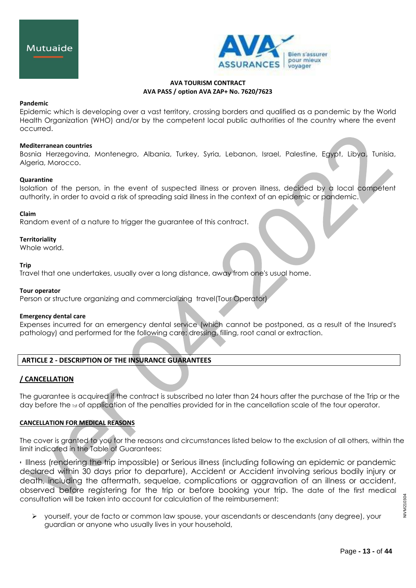

#### **Pandemic**

Epidemic which is developing over a vast territory, crossing borders and qualified as a pandemic by the World Health Organization (WHO) and/or by the competent local public authorities of the country where the event occurred.

## **Mediterranean countries**

Bosnia Herzegovina, Montenegro, Albania, Turkey, Syria, Lebanon, Israel, Palestine, Egypt, Libya, Tunisia, Algeria, Morocco.

## **Quarantine**

Isolation of the person, in the event of suspected illness or proven illness, decided by a local competent authority, in order to avoid a risk of spreading said illness in the context of an epidemic or pandemic.

## **Claim**

Random event of a nature to trigger the guarantee of this contract.

#### **Territoriality**

Whole world.

#### **Trip**

Travel that one undertakes, usually over a long distance, away from one's usual home.

#### **Tour operator**

[Person or](https://www.linternaute.fr/dictionnaire/fr/definition/personne/) [structure organizing](https://www.linternaute.fr/dictionnaire/fr/definition/structure-1/) [and commercializing](https://www.linternaute.fr/dictionnaire/fr/definition/et/) [travel\(](https://www.linternaute.fr/dictionnaire/fr/definition/des/)Tour Operator)

#### **Emergency dental care**

Expenses incurred for an emergency dental service (which cannot be postponed, as a result of the Insured's pathology) and performed for the following care: dressing, filling, root canal or extraction.

# **ARTICLE 2 - DESCRIPTION OF THE INSURANCE GUARANTEES**

# **/ CANCELLATION**

The guarantee is acquired if the contract is subscribed no later than 24 hours after the purchase of the Trip or the day before the 1st of application of the penalties provided for in the cancellation scale of the tour operator.

# **CANCELLATION FOR MEDICAL REASONS**

The cover is granted to you for the reasons and circumstances listed below to the exclusion of all others, within the limit indicated in the Table of Guarantees:

• Illness (rendering the trip impossible) or Serious illness (including following an epidemic or pandemic declared within 30 days prior to departure), Accident or Accident involving serious bodily injury or death, including the aftermath, sequelae, complications or aggravation of an illness or accident, observed before registering for the trip or before booking your trip. The date of the first medical consultation will be taken into account for calculation of the reimbursement:

 yourself, your de facto or common law spouse, your ascendants or descendants (any degree), your guardian or anyone who usually lives in your household,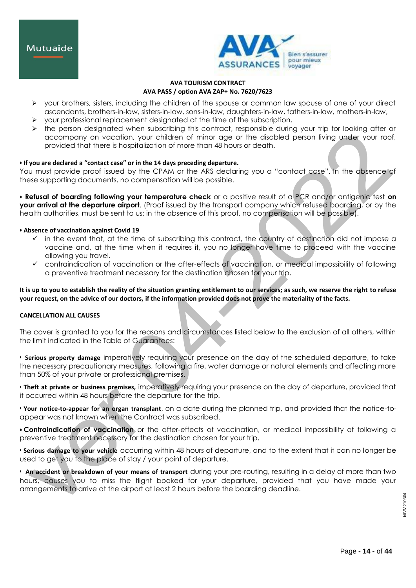

- your brothers, sisters, including the children of the spouse or common law spouse of one of your direct ascendants, brothers-in-law, sisters-in-law, sons-in-law, daughters-in-law, fathers-in-law, mothers-in-law,
- $\triangleright$  your professional replacement designated at the time of the subscription,
- the person designated when subscribing this contract, responsible during your trip for looking after or accompany on vacation, your children of minor age or the disabled person living under your roof, provided that there is hospitalization of more than 48 hours or death.

# **• If you are declared a "contact case" or in the 14 days preceding departure.**

You must provide proof issued by the CPAM or the ARS declaring you a "contact case". In the absence of these supporting documents, no compensation will be possible.

**• Refusal of boarding following your temperature check** or a positive result of a PCR and/or antigenic test **on your arrival at the departure airport**. (Proof issued by the transport company which refused boarding, or by the health authorities, must be sent to us; in the absence of this proof, no compensation will be possible).

# **• Absence of vaccination against Covid 19**

- $\checkmark$  in the event that, at the time of subscribing this contract, the country of destination did not impose a vaccine and, at the time when it requires it, you no longer have time to proceed with the vaccine allowing you travel.
- contraindication of vaccination or the after-effects of vaccination, or medical impossibility of following a preventive treatment necessary for the destination chosen for your trip.

**It is up to you to establish the reality of the situation granting entitlement to our services; as such, we reserve the right to refuse your request, on the advice of our doctors, if the information provided does not prove the materiality of the facts.**

#### **CANCELLATION ALL CAUSES**

The cover is granted to you for the reasons and circumstances listed below to the exclusion of all others, within the limit indicated in the Table of Guarantees:

• **Serious property damage** imperatively requiring your presence on the day of the scheduled departure, to take the necessary precautionary measures, following a fire, water damage or natural elements and affecting more than 50% of your private or professional premises.

• **Theft at private or business premises,** imperatively requiring your presence on the day of departure, provided that it occurred within 48 hours before the departure for the trip.

• **Your notice-to-appear for an organ transplant**, on a date during the planned trip, and provided that the notice-toappear was not known when the Contract was subscribed.

**• Contraindication of vaccination** or the after-effects of vaccination, or medical impossibility of following a preventive treatment necessary for the destination chosen for your trip.

• **Serious damage to your vehicle** occurring within 48 hours of departure, and to the extent that it can no longer be used to get you to the place of stay / your point of departure.

• **An accident or breakdown of your means of transport** during your pre-routing, resulting in a delay of more than two hours, causes you to miss the flight booked for your departure, provided that you have made your arrangements to arrive at the airport at least 2 hours before the boarding deadline.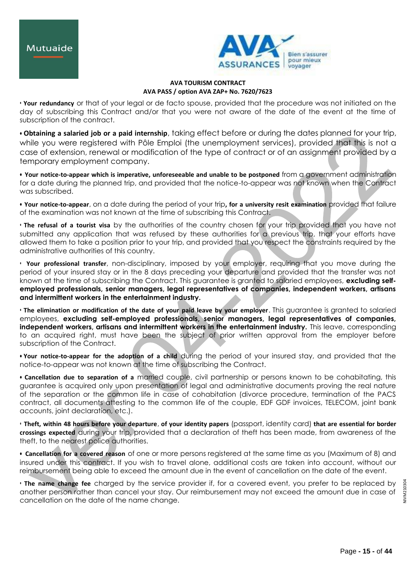

• **Your redundancy** or that of your legal or de facto spouse, provided that the procedure was not initiated on the day of subscribing this Contract and/or that you were not aware of the date of the event at the time of subscription of the contract.

**• Obtaining a salaried job or a paid internship**, taking effect before or during the dates planned for your trip, while you were registered with Pôle Emploi (the unemployment services), provided that this is not a case of extension, renewal or modification of the type of contract or of an assignment provided by a temporary employment company.

**• Your notice-to-appear which is imperative, unforeseeable and unable to be postponed** from a government administration for a date during the planned trip, and provided that the notice-to-appear was not known when the Contract was subscribed.

**• Your notice-to-appear**, on a date during the period of your trip**, for a university resit examination** provided that failure of the examination was not known at the time of subscribing this Contract.

• **The refusal of a tourist visa** by the authorities of the country chosen for your trip provided that you have not submitted any application that was refused by these authorities for a previous trip, that your efforts have allowed them to take a position prior to your trip, and provided that you respect the constraints required by the administrative authorities of this country.

• **Your professional transfer**, non-disciplinary, imposed by your employer, requiring that you move during the period of your insured stay or in the 8 days preceding your departure and provided that the transfer was not known at the time of subscribing the Contract. This guarantee is granted to salaried employees, **excluding selfemployed professionals, senior managers, legal representatives of companies, independent workers, artisans and intermittent workers in the entertainment industry.**

• **The elimination or modification of the date of your paid leave by your employer**. This guarantee is granted to salaried employees, **excluding self-employed professionals, senior managers, legal representatives of companies, independent workers, artisans and intermittent workers in the entertainment industry.** This leave, corresponding to an acquired right, must have been the subject of prior written approval from the employer before subscription of the Contract.

**• Your notice-to-appear for the adoption of a child** during the period of your insured stay, and provided that the notice-to-appear was not known at the time of subscribing the Contract.

**• Cancellation due to separation of a** married couple, civil partnership or persons known to be cohabitating, this guarantee is acquired only upon presentation of legal and administrative documents proving the real nature of the separation or the common life in case of cohabitation (divorce procedure, termination of the PACS contract, all documents attesting to the common life of the couple, EDF GDF invoices, TELECOM, joint bank accounts, joint declaration, etc.).

• **Theft, within 48 hours before your departure**, **of your identity papers** (passport, identity card) **that are essential for border crossings expected** during your trip, provided that a declaration of theft has been made, from awareness of the theft, to the nearest police authorities.

**• Cancellation for a covered reason** of one or more persons registered at the same time as you (Maximum of 8) and insured under this contract. If you wish to travel alone, additional costs are taken into account, without our reimbursement being able to exceed the amount due in the event of cancellation on the date of the event.

• **The name change fee** charged by the service provider if, for a covered event, you prefer to be replaced by another person rather than cancel your stay. Our reimbursement may not exceed the amount due in case of cancellation on the date of the name change.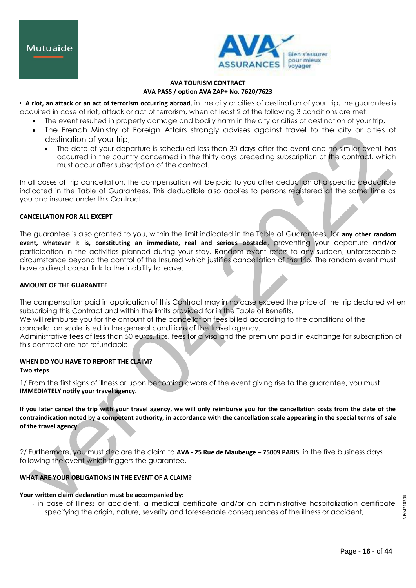

• **A riot, an attack or an act of terrorism occurring abroad**, in the city or cities of destination of your trip, the guarantee is acquired in case of riot, attack or act of terrorism, when at least 2 of the following 3 conditions are met:

- The event resulted in property damage and bodily harm in the city or cities of destination of your trip,
- The French Ministry of Foreign Affairs strongly advises against travel to the city or cities of destination of your trip,
	- The date of your departure is scheduled less than 30 days after the event and no similar event has occurred in the country concerned in the thirty days preceding subscription of the contract, which must occur after subscription of the contract.

In all cases of trip cancellation, the compensation will be paid to you after deduction of a specific deductible indicated in the Table of Guarantees. This deductible also applies to persons registered at the same time as you and insured under this Contract.

# **CANCELLATION FOR ALL EXCEPT**

The guarantee is also granted to you, within the limit indicated in the Table of Guarantees, for **any other random event, whatever it is, constituting an immediate, real and serious obstacle**, preventing your departure and/or participation in the activities planned during your stay. Random event refers to any sudden, unforeseeable circumstance beyond the control of the Insured which justifies cancellation of the trip. The random event must have a direct causal link to the inability to leave.

# **AMOUNT OF THE GUARANTEE**

The compensation paid in application of this Contract may in no case exceed the price of the trip declared when subscribing this Contract and within the limits provided for in the Table of Benefits.

We will reimburse you for the amount of the cancellation fees billed according to the conditions of the cancellation scale listed in the general conditions of the travel agency.

Administrative fees of less than 50 euros, tips, fees for a visa and the premium paid in exchange for subscription of this contract are not refundable.

# **WHEN DO YOU HAVE TO REPORT THE CLAIM?**

#### **Two steps**

1/ From the first signs of illness or upon becoming aware of the event giving rise to the guarantee, you must **IMMEDIATELY notify your travel agency.**

**If you later cancel the trip with your travel agency, we will only reimburse you for the cancellation costs from the date of the contraindication noted by a competent authority, in accordance with the cancellation scale appearing in the special terms of sale of the travel agency.**

2/ Furthermore, you must declare the claim to **AVA - 25 Rue de Maubeuge – 75009 PARIS**, in the five business days following the event which triggers the guarantee.

# **WHAT ARE YOUR OBLIGATIONS IN THE EVENT OF A CLAIM?**

# **Your written claim declaration must be accompanied by:**

- in case of Illness or accident, a medical certificate and/or an administrative hospitalization certificate specifying the origin, nature, severity and foreseeable consequences of the illness or accident,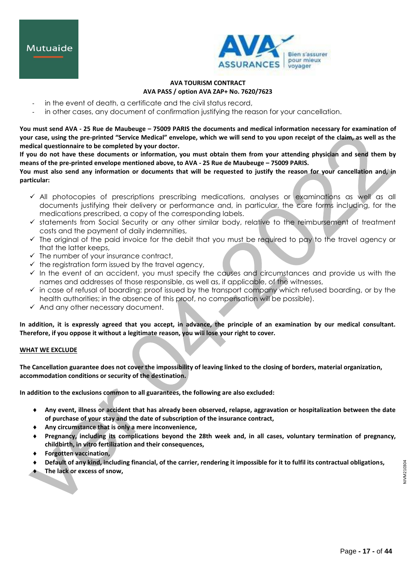



- in the event of death, a certificate and the civil status record,
- in other cases, any document of confirmation justifying the reason for your cancellation.

**You must send AVA - 25 Rue de Maubeuge – 75009 PARIS the documents and medical information necessary for examination of your case, using the pre-printed "Service Medical" envelope, which we will send to you upon receipt of the claim, as well as the medical questionnaire to be completed by your doctor.**

**If you do not have these documents or information, you must obtain them from your attending physician and send them by means of the pre-printed envelope mentioned above, to AVA - 25 Rue de Maubeuge – 75009 PARIS.**

**You must also send any information or documents that will be requested to justify the reason for your cancellation and, in particular:**

- $\checkmark$  All photocopies of prescriptions prescribing medications, analyses or examinations as well as all documents justifying their delivery or performance and, in particular, the care forms including, for the medications prescribed, a copy of the corresponding labels.
- $\checkmark$  statements from Social Security or any other similar body, relative to the reimbursement of treatment costs and the payment of daily indemnities,
- $\checkmark$  The original of the paid invoice for the debit that you must be required to pay to the travel agency or that the latter keeps,
- $\checkmark$  The number of your insurance contract,
- $\checkmark$  the registration form issued by the travel agency,
- $\checkmark$  In the event of an accident, you must specify the causes and circumstances and provide us with the names and addresses of those responsible, as well as, if applicable, of the witnesses,
- $\checkmark$  in case of refusal of boarding: proof issued by the transport company which refused boarding, or by the health authorities; in the absence of this proof, no compensation will be possible).
- $\checkmark$  And any other necessary document.

**In addition, it is expressly agreed that you accept, in advance, the principle of an examination by our medical consultant. Therefore, if you oppose it without a legitimate reason, you will lose your right to cover.**

#### **WHAT WE EXCLUDE**

**The Cancellation guarantee does not cover the impossibility of leaving linked to the closing of borders, material organization, accommodation conditions or security of the destination.**

**In addition to the exclusions common to all guarantees, the following are also excluded:**

- **Any event, illness or accident that has already been observed, relapse, aggravation or hospitalization between the date of purchase of your stay and the date of subscription of the insurance contract,**
- **Any circumstance that is only a mere inconvenience,**
- **Pregnancy, including its complications beyond the 28th week and, in all cases, voluntary termination of pregnancy, childbirth, in vitro fertilization and their consequences,**
- **Forgotten vaccination,**
- **Default of any kind, including financial, of the carrier, rendering it impossible for it to fulfil its contractual obligations,**
- **The lack or excess of snow,**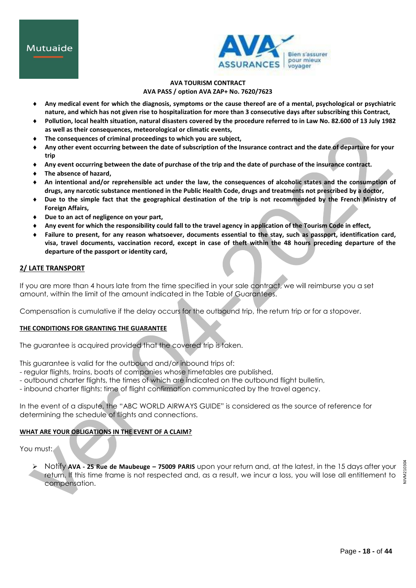

## **AVA TOURISM CONTRACT AVA PASS / option AVA ZAP+ No. 7620/7623**

- **Any medical event for which the diagnosis, symptoms or the cause thereof are of a mental, psychological or psychiatric nature, and which has not given rise to hospitalization for more than 3 consecutive days after subscribing this Contract,**
- **Pollution, local health situation, natural disasters covered by the procedure referred to in Law No. 82.600 of 13 July 1982 as well as their consequences, meteorological or climatic events,**
- **The consequences of criminal proceedings to which you are subject,**
- **Any other event occurring between the date of subscription of the Insurance contract and the date of departure for your trip**
- **Any event occurring between the date of purchase of the trip and the date of purchase of the insurance contract.**
- **The absence of hazard,**
- **An intentional and/or reprehensible act under the law, the consequences of alcoholic states and the consumption of drugs, any narcotic substance mentioned in the Public Health Code, drugs and treatments not prescribed by a doctor,**
- **Due to the simple fact that the geographical destination of the trip is not recommended by the French Ministry of Foreign Affairs,**
- **Due to an act of negligence on your part,**
- **Any event for which the responsibility could fall to the travel agency in application of the Tourism Code in effect,**
- **Failure to present, for any reason whatsoever, documents essential to the stay, such as passport, identification card, visa, travel documents, vaccination record, except in case of theft within the 48 hours preceding departure of the departure of the passport or identity card,**

# **2/ LATE TRANSPORT**

If you are more than 4 hours late from the time specified in your sale contract, we will reimburse you a set amount, within the limit of the amount indicated in the Table of Guarantees.

Compensation is cumulative if the delay occurs for the outbound trip, the return trip or for a stopover.

# **THE CONDITIONS FOR GRANTING THE GUARANTEE**

The guarantee is acquired provided that the covered trip is taken.

This guarantee is valid for the outbound and/or inbound trips of:

- regular flights, trains, boats of companies whose timetables are published,
- outbound charter flights, the times of which are indicated on the outbound flight bulletin,
- inbound charter flights: time of flight confirmation communicated by the travel agency.

In the event of a dispute, the "ABC WORLD AIRWAYS GUIDE" is considered as the source of reference for determining the schedule of flights and connections.

# **WHAT ARE YOUR OBLIGATIONS IN THE EVENT OF A CLAIM?**

You must:

 Notify **AVA - 25 Rue de Maubeuge – 75009 PARIS** upon your return and, at the latest, in the 15 days after your return. If this time frame is not respected and, as a result, we incur a loss, you will lose all entitlement to compensation.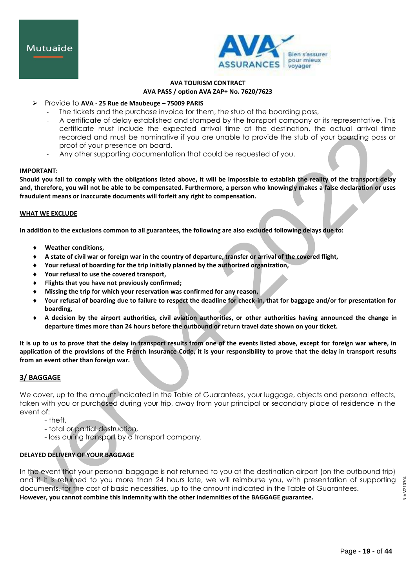

# Provide to **AVA - 25 Rue de Maubeuge – 75009 PARIS**

- The tickets and the purchase invoice for them, the stub of the boarding pass,
- A certificate of delay established and stamped by the transport company or its representative. This certificate must include the expected arrival time at the destination, the actual arrival time recorded and must be nominative if you are unable to provide the stub of your boarding pass or proof of your presence on board.
- Any other supporting documentation that could be requested of you.

#### **IMPORTANT:**

**Should you fail to comply with the obligations listed above, it will be impossible to establish the reality of the transport delay and, therefore, you will not be able to be compensated. Furthermore, a person who knowingly makes a false declaration or uses fraudulent means or inaccurate documents will forfeit any right to compensation.**

#### **WHAT WE EXCLUDE**

**In addition to the exclusions common to all guarantees, the following are also excluded following delays due to:**

- **Weather conditions,**
- **A state of civil war or foreign war in the country of departure, transfer or arrival of the covered flight,**
- **Your refusal of boarding for the trip initially planned by the authorized organization,**
- **Your refusal to use the covered transport,**
- **Flights that you have not previously confirmed;**
- **Missing the trip for which your reservation was confirmed for any reason,**
- **Your refusal of boarding due to failure to respect the deadline for check-in, that for baggage and/or for presentation for boarding,**
- **A decision by the airport authorities, civil aviation authorities, or other authorities having announced the change in departure times more than 24 hours before the outbound or return travel date shown on your ticket.**

**It is up to us to prove that the delay in transport results from one of the events listed above, except for foreign war where, in application of the provisions of the French Insurance Code, it is your responsibility to prove that the delay in transport results from an event other than foreign war.**

# **3/ BAGGAGE**

We cover, up to the amount indicated in the Table of Guarantees, your luggage, objects and personal effects, taken with you or purchased during your trip, away from your principal or secondary place of residence in the event of:

- theft,
- total or partial destruction,
- loss during transport by a transport company.

# **DELAYED DELIVERY OF YOUR BAGGAGE**

In the event that your personal baggage is not returned to you at the destination airport (on the outbound trip) and if it is returned to you more than 24 hours late, we will reimburse you, with presentation of supporting documents, for the cost of basic necessities, up to the amount indicated in the Table of Guarantees. **However, you cannot combine this indemnity with the other indemnities of the BAGGAGE guarantee.**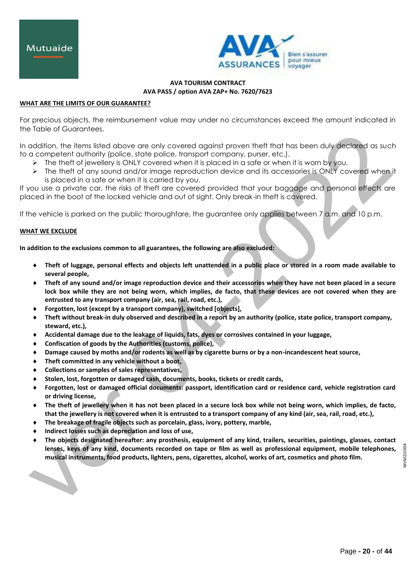

#### **WHAT ARE THE LIMITS OF OUR GUARANTEE?**

For precious objects, the reimbursement value may under no circumstances exceed the amount indicated in the Table of Guarantees.

In addition, the items listed above are only covered against proven theft that has been duly declared as such to a competent authority (police, state police, transport company, purser, etc.).

- $\triangleright$  The theft of jewellery is ONLY covered when it is placed in a safe or when it is worn by you.
- The theft of any sound and/or image reproduction device and its accessories is ONLY covered when it is placed in a safe or when it is carried by you.

If you use a private car, the risks of theft are covered provided that your baggage and personal effects are placed in the boot of the locked vehicle and out of sight. Only break-in theft is covered.

If the vehicle is parked on the public thoroughfare, the guarantee only applies between 7 a.m. and 10 p.m.

#### **WHAT WE EXCLUDE**

**In addition to the exclusions common to all guarantees, the following are also excluded:**

- **Theft of luggage, personal effects and objects left unattended in a public place or stored in a room made available to several people,**
- **Theft of any sound and/or image reproduction device and their accessories when they have not been placed in a secure lock box while they are not being worn, which implies, de facto, that these devices are not covered when they are entrusted to any transport company (air, sea, rail, road, etc.),**
- **Forgotten, lost (except by a transport company), switched [objects],**
- **Theft without break-in duly observed and described in a report by an authority (police, state police, transport company, steward, etc.),**
- **Accidental damage due to the leakage of liquids, fats, dyes or corrosives contained in your luggage,**
- **Confiscation of goods by the Authorities (customs, police),**
- **Damage caused by moths and/or rodents as well as by cigarette burns or by a non-incandescent heat source,**
- **Theft committed in any vehicle without a boot,**
- **Collections or samples of sales representatives,**
- **Stolen, lost, forgotten or damaged cash, documents, books, tickets or credit cards,**
- **Forgotten, lost or damaged official documents: passport, identification card or residence card, vehicle registration card or driving license,**
- **The theft of jewellery when it has not been placed in a secure lock box while not being worn, which implies, de facto, that the jewellery is not covered when it is entrusted to a transport company of any kind (air, sea, rail, road, etc.),**
- **The breakage of fragile objects such as porcelain, glass, ivory, pottery, marble,**
- **Indirect losses such as depreciation and loss of use,**
- **The objects designated hereafter: any prosthesis, equipment of any kind, trailers, securities, paintings, glasses, contact lenses, keys of any kind, documents recorded on tape or film as well as professional equipment, mobile telephones, musical instruments, food products, lighters, pens, cigarettes, alcohol, works of art, cosmetics and photo film.**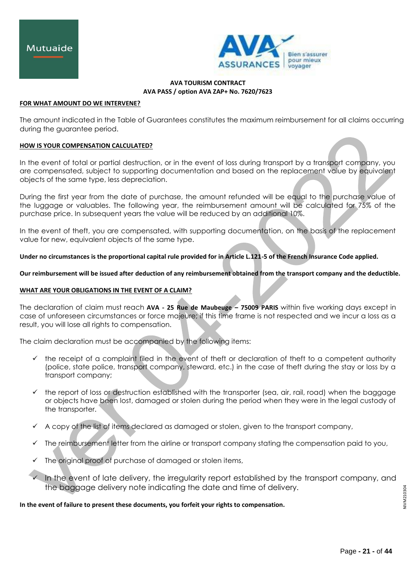

#### **FOR WHAT AMOUNT DO WE INTERVENE?**

The amount indicated in the Table of Guarantees constitutes the maximum reimbursement for all claims occurring during the guarantee period.

## **HOW IS YOUR COMPENSATION CALCULATED?**

In the event of total or partial destruction, or in the event of loss during transport by a transport company, you are compensated, subject to supporting documentation and based on the replacement value by equivalent objects of the same type, less depreciation.

During the first year from the date of purchase, the amount refunded will be equal to the purchase value of the luggage or valuables. The following year, the reimbursement amount will be calculated for 75% of the purchase price. In subsequent years the value will be reduced by an additional 10%.

In the event of theft, you are compensated, with supporting documentation, on the basis of the replacement value for new, equivalent objects of the same type.

**Under no circumstances is the proportional capital rule provided for in Article L.121-5 of the French Insurance Code applied.**

**Our reimbursement will be issued after deduction of any reimbursement obtained from the transport company and the deductible.**

# **WHAT ARE YOUR OBLIGATIONS IN THE EVENT OF A CLAIM?**

The declaration of claim must reach **AVA - 25 Rue de Maubeuge – 75009 PARIS** within five working days except in case of unforeseen circumstances or force majeure; if this time frame is not respected and we incur a loss as a result, you will lose all rights to compensation.

The claim declaration must be accompanied by the following items:

- $\checkmark$  the receipt of a complaint filed in the event of theft or declaration of theft to a competent authority (police, state police, transport company, steward, etc.) in the case of theft during the stay or loss by a transport company;
- $\checkmark$  the report of loss or destruction established with the transporter (sea, air, rail, road) when the baggage or objects have been lost, damaged or stolen during the period when they were in the legal custody of the transporter.
- $\checkmark$  A copy of the list of items declared as damaged or stolen, given to the transport company,
- $\checkmark$  The reimbursement letter from the airline or transport company stating the compensation paid to you,
- The original proof of purchase of damaged or stolen items,
- In the event of late delivery, the irregularity report established by the transport company, and the baggage delivery note indicating the date and time of delivery.

**In the event of failure to present these documents, you forfeit your rights to compensation.**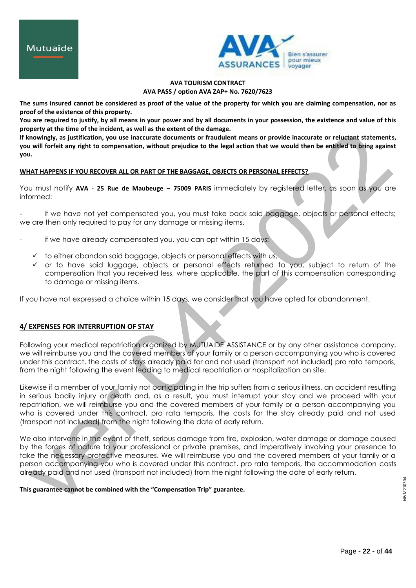

# **AVA TOURISM CONTRACT AVA PASS / option AVA ZAP+ No. 7620/7623**

**The sums insured cannot be considered as proof of the value of the property for which you are claiming compensation, nor as proof of the existence of this property.**

**You are required to justify, by all means in your power and by all documents in your possession, the existence and value of this property at the time of the incident, as well as the extent of the damage.**

**If knowingly, as justification, you use inaccurate documents or fraudulent means or provide inaccurate or reluctant statements, you will forfeit any right to compensation, without prejudice to the legal action that we would then be entitled to bring against you.**

## **WHAT HAPPENS IF YOU RECOVER ALL OR PART OF THE BAGGAGE, OBJECTS OR PERSONAL EFFECTS?**

You must notify **AVA - 25 Rue de Maubeuge – 75009 PARIS** immediately by registered letter, as soon as you are informed:

if we have not yet compensated you, you must take back said baggage, objects or personal effects; we are then only required to pay for any damage or missing items.

- if we have already compensated you, you can opt within 15 days:
	- $\checkmark$  to either abandon said baggage, objects or personal effects with us,
	- $\checkmark$  or to have said luggage, objects or personal effects returned to you, subject to return of the compensation that you received less, where applicable, the part of this compensation corresponding to damage or missing items.

If you have not expressed a choice within 15 days, we consider that you have opted for abandonment.

# **4/ EXPENSES FOR INTERRUPTION OF STAY**

Following your medical repatriation organized by MUTUAIDE ASSISTANCE or by any other assistance company, we will reimburse you and the covered members of your family or a person accompanying you who is covered under this contract, the costs of stays already paid for and not used (transport not included) pro rata temporis, from the night following the event leading to medical repatriation or hospitalization on site.

Likewise if a member of your family not participating in the trip suffers from a serious illness, an accident resulting in serious bodily injury or death and, as a result, you must interrupt your stay and we proceed with your repatriation, we will reimburse you and the covered members of your family or a person accompanying you who is covered under this contract, pro rata temporis, the costs for the stay already paid and not used (transport not included) from the night following the date of early return.

We also intervene in the event of theft, serious damage from fire, explosion, water damage or damage caused by the forces of nature to your professional or private premises, and imperatively involving your presence to take the necessary protective measures. We will reimburse you and the covered members of your family or a person accompanying you who is covered under this contract, pro rata temporis, the accommodation costs already paid and not used (transport not included) from the night following the date of early return.

**This guarantee cannot be combined with the "Compensation Trip" guarantee.**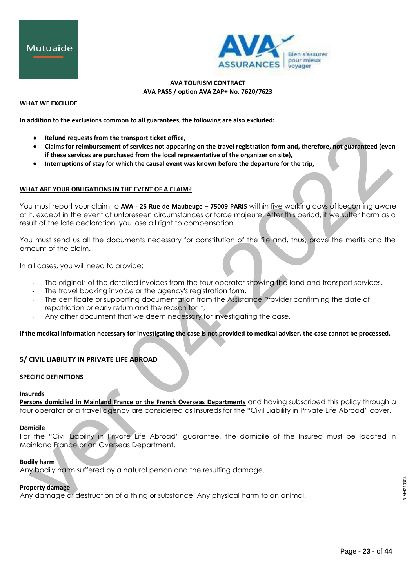



#### **WHAT WE EXCLUDE**

**In addition to the exclusions common to all guarantees, the following are also excluded:**

- **Refund requests from the transport ticket office,**
- **Claims for reimbursement of services not appearing on the travel registration form and, therefore, not guaranteed (even if these services are purchased from the local representative of the organizer on site),**
- **Interruptions of stay for which the causal event was known before the departure for the trip,**

## **WHAT ARE YOUR OBLIGATIONS IN THE EVENT OF A CLAIM?**

You must report your claim to **AVA - 25 Rue de Maubeuge – 75009 PARIS** within five working days of becoming aware of it, except in the event of unforeseen circumstances or force majeure. After this period, if we suffer harm as a result of the late declaration, you lose all right to compensation.

You must send us all the documents necessary for constitution of the file and, thus, prove the merits and the amount of the claim.

In all cases, you will need to provide:

- The originals of the detailed invoices from the tour operator showing the land and transport services,
- The travel booking invoice or the agency's registration form,
- The certificate or supporting documentation from the Assistance Provider confirming the date of repatriation or early return and the reason for it,
- Any other document that we deem necessary for investigating the case.

**If the medical information necessary for investigating the case is not provided to medical adviser, the case cannot be processed.**

# **5/ CIVIL LIABILITY IN PRIVATE LIFE ABROAD**

#### **SPECIFIC DEFINITIONS**

#### **Insureds**

**Persons domiciled in Mainland France or the French Overseas Departments** and having subscribed this policy through a tour operator or a travel agency are considered as Insureds for the "Civil Liability in Private Life Abroad" cover.

#### **Domicile**

For the "Civil Liability in Private Life Abroad" guarantee, the domicile of the Insured must be located in Mainland France or an Overseas Department.

## **Bodily harm**

Any bodily harm suffered by a natural person and the resulting damage.

# **Property damage**

Any damage or destruction of a thing or substance. Any physical harm to an animal.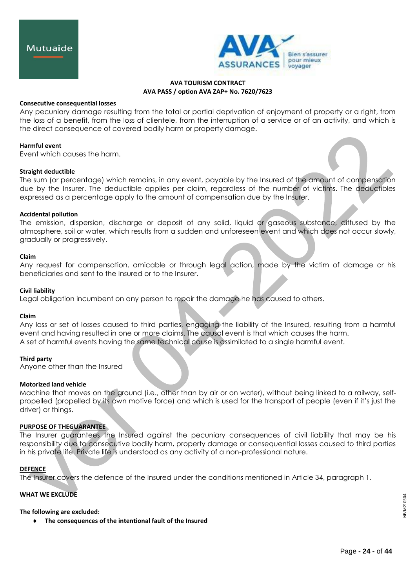

#### **Consecutive consequential losses**

Any pecuniary damage resulting from the total or partial deprivation of enjoyment of property or a right, from the loss of a benefit, from the loss of clientele, from the interruption of a service or of an activity, and which is the direct consequence of covered bodily harm or property damage.

#### **Harmful event**

Event which causes the harm.

## **Straight deductible**

The sum (or percentage) which remains, in any event, payable by the Insured of the amount of compensation due by the Insurer. The deductible applies per claim, regardless of the number of victims. The deductibles expressed as a percentage apply to the amount of compensation due by the Insurer.

## **Accidental pollution**

The emission, dispersion, discharge or deposit of any solid, liquid or gaseous substance, diffused by the atmosphere, soil or water, which results from a sudden and unforeseen event and which does not occur slowly, gradually or progressively.

## **Claim**

Any request for compensation, amicable or through legal action, made by the victim of damage or his beneficiaries and sent to the Insured or to the Insurer.

#### **Civil liability**

Legal obligation incumbent on any person to repair the damage he has caused to others.

#### **Claim**

Any loss or set of losses caused to third parties, engaging the liability of the Insured, resulting from a harmful event and having resulted in one or more claims. The causal event is that which causes the harm. A set of harmful events having the same technical cause is assimilated to a single harmful event.

#### **Third party**

Anyone other than the Insured

# **Motorized land vehicle**

Machine that moves on the ground (i.e., other than by air or on water), without being linked to a railway, selfpropelled (propelled by its own motive force) and which is used for the transport of people (even if it's just the driver) or things.

# **PURPOSE OF THEGUARANTEE**

The Insurer guarantees the Insured against the pecuniary consequences of civil liability that may be his responsibility due to consecutive bodily harm, property damage or consequential losses caused to third parties in his private life. Private life is understood as any activity of a non-professional nature.

#### **DEFENCE**

The Insurer covers the defence of the Insured under the conditions mentioned in Article 34, paragraph 1.

#### **WHAT WE EXCLUDE**

#### **The following are excluded:**

**The consequences of the intentional fault of the Insured**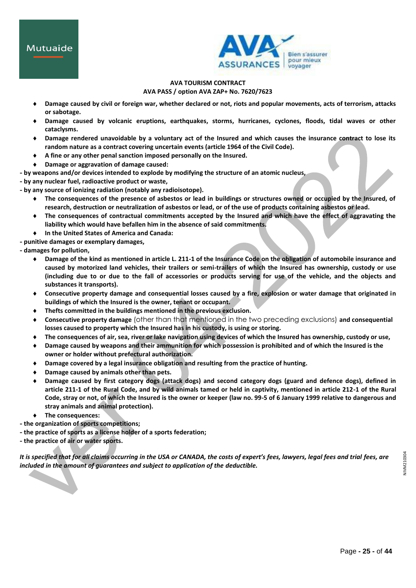

# **AVA TOURISM CONTRACT AVA PASS / option AVA ZAP+ No. 7620/7623**

- **Damage caused by civil or foreign war, whether declared or not, riots and popular movements, acts of terrorism, attacks or sabotage.**
- **Damage caused by volcanic eruptions, earthquakes, storms, hurricanes, cyclones, floods, tidal waves or other cataclysms.**
- **Damage rendered unavoidable by a voluntary act of the Insured and which causes the insurance contract to lose its random nature as a contract covering uncertain events (article 1964 of the Civil Code).**
- **A fine or any other penal sanction imposed personally on the Insured.**
- **Damage or aggravation of damage caused:**
- **- by weapons and/or devices intended to explode by modifying the structure of an atomic nucleus,**
- **- by any nuclear fuel, radioactive product or waste,**
- **- by any source of ionizing radiation (notably any radioisotope).**
	- **The consequences of the presence of asbestos or lead in buildings or structures owned or occupied by the Insured, of research, destruction or neutralization of asbestos or lead, or of the use of products containing asbestos or lead.**
	- **The consequences of contractual commitments accepted by the Insured and which have the effect of aggravating the liability which would have befallen him in the absence of said commitments.**
	- **In the United States of America and Canada:**
- **- punitive damages or exemplary damages,**
- **- damages for pollution,**
	- **Damage of the kind as mentioned in article L. 211-1 of the Insurance Code on the obligation of automobile insurance and caused by motorized land vehicles, their trailers or semi-trailers of which the Insured has ownership, custody or use (including due to or due to the fall of accessories or products serving for use of the vehicle, and the objects and substances it transports).**
	- **Consecutive property damage and consequential losses caused by a fire, explosion or water damage that originated in buildings of which the Insured is the owner, tenant or occupant.**
	- **Thefts committed in the buildings mentioned in the previous exclusion.**
	- **Consecutive property damage** (other than that mentioned in the two preceding exclusions) **and consequential losses caused to property which the Insured has in his custody, is using or storing.**
	- **The consequences of air, sea, river or lake navigation using devices of which the Insured has ownership, custody or use,**
	- **Damage caused by weapons and their ammunition for which possession is prohibited and of which the Insured is the owner or holder without prefectural authorization.**
	- **Damage covered by a legal insurance obligation and resulting from the practice of hunting.**
	- **Damage caused by animals other than pets.**
	- **Damage caused by first category dogs (attack dogs) and second category dogs (guard and defence dogs), defined in article 211-1 of the Rural Code, and by wild animals tamed or held in captivity, mentioned in article 212-1 of the Rural Code, stray or not, of which the Insured is the owner or keeper (law no. 99-5 of 6 January 1999 relative to dangerous and stray animals and animal protection).**
	- **The consequences:**
- **- the organization of sports competitions;**
- **- the practice of sports as a license holder of a sports federation;**
- **- the practice of air or water sports.**

It is specified that for all claims occurring in the USA or CANADA, the costs of expert's fees, lawyers, legal fees and trial fees, are *included in the amount of guarantees and subject to application of the deductible.*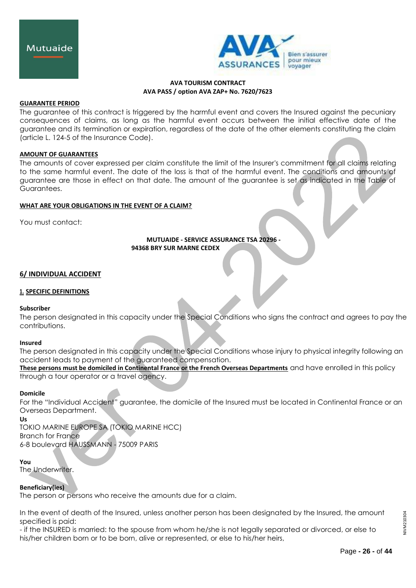

## **GUARANTEE PERIOD**

The guarantee of this contract is triggered by the harmful event and covers the Insured against the pecuniary consequences of claims, as long as the harmful event occurs between the initial effective date of the guarantee and its termination or expiration, regardless of the date of the other elements constituting the claim (article L. 124-5 of the Insurance Code).

## **AMOUNT OF GUARANTEES**

The amounts of cover expressed per claim constitute the limit of the Insurer's commitment for all claims relating to the same harmful event. The date of the loss is that of the harmful event. The conditions and amounts of guarantee are those in effect on that date. The amount of the guarantee is set as indicated in the Table of Guarantees.

## **WHAT ARE YOUR OBLIGATIONS IN THE EVENT OF A CLAIM?**

You must contact:

# **MUTUAIDE - SERVICE ASSURANCE TSA 20296 - 94368 BRY SUR MARNE CEDEX**

## **6/ INDIVIDUAL ACCIDENT**

# **1. SPECIFIC DEFINITIONS**

#### **Subscriber**

The person designated in this capacity under the Special Conditions who signs the contract and agrees to pay the contributions.

#### **Insured**

The person designated in this capacity under the Special Conditions whose injury to physical integrity following an accident leads to payment of the guaranteed compensation.

**These persons must be domiciled in Continental France or the French Overseas Departments** and have enrolled in this policy through a tour operator or a travel agency.

#### **Domicile**

For the "Individual Accident" guarantee, the domicile of the Insured must be located in Continental France or an Overseas Department.

**Us** TOKIO MARINE EUROPE SA (TOKIO MARINE HCC) Branch for France 6-8 boulevard HAUSSMANN - 75009 PARIS

#### **You**

The Underwriter.

# **Beneficiary(ies)**

The person or persons who receive the amounts due for a claim.

In the event of death of the Insured, unless another person has been designated by the Insured, the amount specified is paid:

- if the INSURED is married: to the spouse from whom he/she is not legally separated or divorced, or else to his/her children born or to be born, alive or represented, or else to his/her heirs,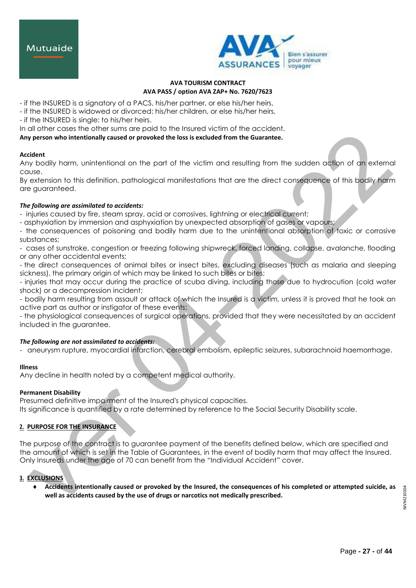



- if the INSURED is a signatory of a PACS, his/her partner, or else his/her heirs,
- if the INSURED is widowed or divorced: his/her children, or else his/her heirs,
- if the INSURED is single: to his/her heirs.

In all other cases the other sums are paid to the Insured victim of the accident.

**Any person who intentionally caused or provoked the loss is excluded from the Guarantee.**

# **Accident**

Any bodily harm, unintentional on the part of the victim and resulting from the sudden action of an external cause.

By extension to this definition, pathological manifestations that are the direct consequence of this bodily harm are guaranteed.

# *The following are assimilated to accidents:*

- injuries caused by fire, steam spray, acid or corrosives, lightning or electrical current;

- asphyxiation by immersion and asphyxiation by unexpected absorption of gases or vapours;

- the consequences of poisoning and bodily harm due to the unintentional absorption of toxic or corrosive substances;

- cases of sunstroke, congestion or freezing following shipwreck, forced landing, collapse, avalanche, flooding or any other accidental events;

- the direct consequences of animal bites or insect bites, excluding diseases (such as malaria and sleeping sickness), the primary origin of which may be linked to such bites or bites;

- injuries that may occur during the practice of scuba diving, including those due to hydrocution (cold water shock) or a decompression incident;

- bodily harm resulting from assault or attack of which the Insured is a victim, unless it is proved that he took an active part as author or instigator of these events;

- the physiological consequences of surgical operations, provided that they were necessitated by an accident included in the guarantee.

# *The following are not assimilated to accidents:*

- aneurysm rupture, myocardial infarction, cerebral embolism, epileptic seizures, subarachnoid haemorrhage.

# **Illness**

Any decline in health noted by a competent medical authority.

# **Permanent Disability**

Presumed definitive impairment of the Insured's physical capacities.

Its significance is quantified by a rate determined by reference to the Social Security Disability scale.

# **2. PURPOSE FOR THE INSURANCE**

The purpose of the contract is to guarantee payment of the benefits defined below, which are specified and the amount of which is set in the Table of Guarantees, in the event of bodily harm that may affect the Insured. Only Insureds under the age of 70 can benefit from the "Individual Accident" cover.

# **3. EXCLUSIONS**

 **Accidents intentionally caused or provoked by the Insured, the consequences of his completed or attempted suicide, as well as accidents caused by the use of drugs or narcotics not medically prescribed.**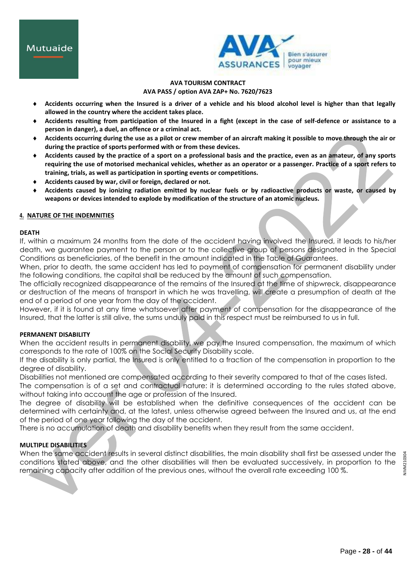

- **Accidents occurring when the Insured is a driver of a vehicle and his blood alcohol level is higher than that legally allowed in the country where the accident takes place.**
- **Accidents resulting from participation of the Insured in a fight (except in the case of self-defence or assistance to a person in danger), a duel, an offence or a criminal act.**
- **Accidents occurring during the use as a pilot or crew member of an aircraft making it possible to move through the air or during the practice of sports performed with or from these devices.**
- **Accidents caused by the practice of a sport on a professional basis and the practice, even as an amateur, of any sports requiring the use of motorised mechanical vehicles, whether as an operator or a passenger. Practice of a sport refers to training, trials, as well as participation in sporting events or competitions.**
- **Accidents caused by war, civil or foreign, declared or not.**
- **Accidents caused by ionizing radiation emitted by nuclear fuels or by radioactive products or waste, or caused by weapons or devices intended to explode by modification of the structure of an atomic nucleus.**

# **4. NATURE OF THE INDEMNITIES**

# **DEATH**

If, within a maximum 24 months from the date of the accident having involved the Insured, it leads to his/her death, we guarantee payment to the person or to the collective group of persons designated in the Special Conditions as beneficiaries, of the benefit in the amount indicated in the Table of Guarantees.

When, prior to death, the same accident has led to payment of compensation for permanent disability under the following conditions, the capital shall be reduced by the amount of such compensation.

The officially recognized disappearance of the remains of the Insured at the time of shipwreck, disappearance or destruction of the means of transport in which he was travelling, will create a presumption of death at the end of a period of one year from the day of the accident.

However, if it is found at any time whatsoever after payment of compensation for the disappearance of the Insured, that the latter is still alive, the sums unduly paid in this respect must be reimbursed to us in full.

# **PERMANENT DISABILITY**

When the accident results in permanent disability, we pay the Insured compensation, the maximum of which corresponds to the rate of 100% on the Social Security Disability scale.

If the disability is only partial, the Insured is only entitled to a fraction of the compensation in proportion to the degree of disability.

Disabilities not mentioned are compensated according to their severity compared to that of the cases listed.

The compensation is of a set and contractual nature: it is determined according to the rules stated above, without taking into account the age or profession of the Insured.

The degree of disability will be established when the definitive consequences of the accident can be determined with certainty and, at the latest, unless otherwise agreed between the Insured and us, at the end of the period of one year following the day of the accident.

There is no accumulation of death and disability benefits when they result from the same accident.

# **MULTIPLE DISABILITIES**

When the same accident results in several distinct disabilities, the main disability shall first be assessed under the conditions stated above, and the other disabilities will then be evaluated successively, in proportion to the remaining capacity after addition of the previous ones, without the overall rate exceeding 100 %.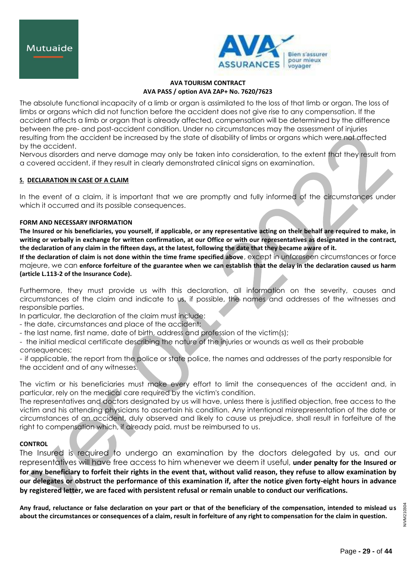

The absolute functional incapacity of a limb or organ is assimilated to the loss of that limb or organ. The loss of limbs or organs which did not function before the accident does not give rise to any compensation. If the accident affects a limb or organ that is already affected, compensation will be determined by the difference between the pre- and post-accident condition. Under no circumstances may the assessment of injuries resulting from the accident be increased by the state of disability of limbs or organs which were not affected by the accident.

Nervous disorders and nerve damage may only be taken into consideration, to the extent that they result from a covered accident, if they result in clearly demonstrated clinical signs on examination.

# **5. DECLARATION IN CASE OF A CLAIM**

In the event of a claim, it is important that we are promptly and fully informed of the circumstances under which it occurred and its possible consequences.

## **FORM AND NECESSARY INFORMATION**

**The Insured or his beneficiaries, you yourself, if applicable, or any representative acting on their behalf are required to make, in writing or verbally in exchange for written confirmation, at our Office or with our representatives as designated in the contract, the declaration of any claim in the fifteen days, at the latest, following the date that they became aware of it.**

**If the declaration of claim is not done within the time frame specified above**, except in unforeseen circumstances or force majeure, we can **enforce forfeiture of the guarantee when we can establish that the delay in the declaration caused us harm (article L.113-2 of the Insurance Code).**

Furthermore, they must provide us with this declaration, all information on the severity, causes and circumstances of the claim and indicate to us, if possible, the names and addresses of the witnesses and responsible parties.

In particular, the declaration of the claim must include:

- the date, circumstances and place of the accident;
- the last name, first name, date of birth, address and profession of the victim(s);
- the initial medical certificate describing the nature of the injuries or wounds as well as their probable

consequences;

- if applicable, the report from the police or state police, the names and addresses of the party responsible for the accident and of any witnesses.

The victim or his beneficiaries must make every effort to limit the consequences of the accident and, in particular, rely on the medical care required by the victim's condition.

The representatives and doctors designated by us will have, unless there is justified objection, free access to the victim and his attending physicians to ascertain his condition. Any intentional misrepresentation of the date or circumstances of an accident, duly observed and likely to cause us prejudice, shall result in forfeiture of the right to compensation which, if already paid, must be reimbursed to us.

# **CONTROL**

The Insured is required to undergo an examination by the doctors delegated by us, and our representatives will have free access to him whenever we deem it useful, **under penalty for the Insured or for any beneficiary to forfeit their rights in the event that, without valid reason, they refuse to allow examination by our delegates or obstruct the performance of this examination if, after the notice given forty-eight hours in advance by registered letter, we are faced with persistent refusal or remain unable to conduct our verifications.**

**Any fraud, reluctance or false declaration on your part or that of the beneficiary of the compensation, intended to mislead us about the circumstances or consequences of a claim, result in forfeiture of any right to compensation for the claim in question.**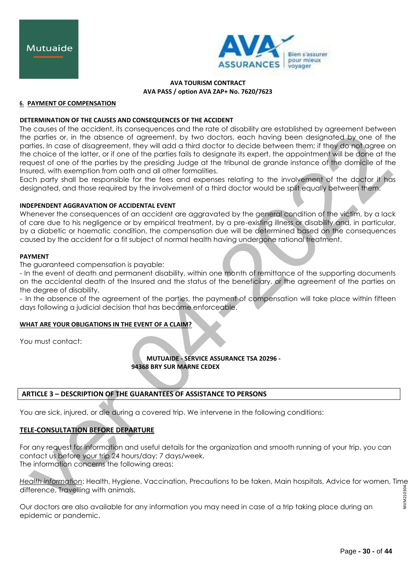

## **6. PAYMENT OF COMPENSATION**

# **DETERMINATION OF THE CAUSES AND CONSEQUENCES OF THE ACCIDENT**

The causes of the accident, its consequences and the rate of disability are established by agreement between the parties or, in the absence of agreement, by two doctors, each having been designated by one of the parties. In case of disagreement, they will add a third doctor to decide between them; if they do not agree on the choice of the latter, or if one of the parties fails to designate its expert, the appointment will be done at the request of one of the parties by the presiding Judge at the tribunal de grande instance of the domicile of the Insured, with exemption from oath and all other formalities.

Each party shall be responsible for the fees and expenses relating to the involvement of the doctor it has designated, and those required by the involvement of a third doctor would be split equally between them.

## **INDEPENDENT AGGRAVATION OF ACCIDENTAL EVENT**

Whenever the consequences of an accident are aggravated by the general condition of the victim, by a lack of care due to his negligence or by empirical treatment, by a pre-existing illness or disability and, in particular, by a diabetic or haematic condition, the compensation due will be determined based on the consequences caused by the accident for a fit subject of normal health having undergone rational treatment.

#### **PAYMENT**

The guaranteed compensation is payable:

- In the event of death and permanent disability, within one month of remittance of the supporting documents on the accidental death of the Insured and the status of the beneficiary, or the agreement of the parties on the degree of disability.

- In the absence of the agreement of the parties, the payment of compensation will take place within fifteen days following a judicial decision that has become enforceable.

# **WHAT ARE YOUR OBLIGATIONS IN THE EVENT OF A CLAIM?**

You must contact:

**MUTUAIDE - SERVICE ASSURANCE TSA 20296 - 94368 BRY SUR MARNE CEDEX**

# **ARTICLE 3 – DESCRIPTION OF THE GUARANTEES OF ASSISTANCE TO PERSONS**

You are sick, injured, or die during a covered trip. We intervene in the following conditions:

# **TELE-CONSULTATION BEFORE DEPARTURE**

For any request for information and useful details for the organization and smooth running of your trip, you can contact us before your trip 24 hours/day; 7 days/week. The information concerns the following areas:

*Health information*: Health, Hygiene, Vaccination, Precautions to be taken, Main hospitals, Advice for women, Time NIVM210304 NIVM210304difference, Travelling with animals.

Our doctors are also available for any information you may need in case of a trip taking place during an epidemic or pandemic.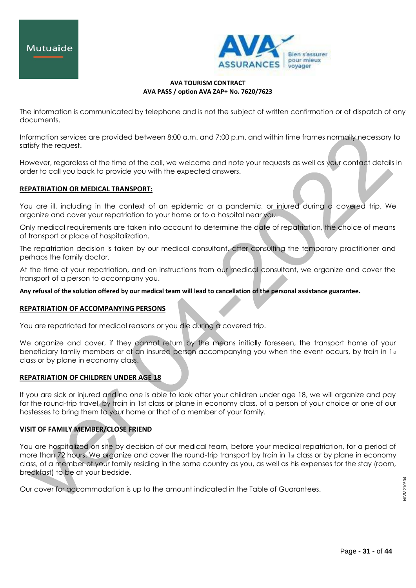

The information is communicated by telephone and is not the subject of written confirmation or of dispatch of any documents.

Information services are provided between 8:00 a.m. and 7:00 p.m. and within time frames normally necessary to satisfy the request.

However, regardless of the time of the call, we welcome and note your requests as well as your contact details in order to call you back to provide you with the expected answers.

# **REPATRIATION OR MEDICAL TRANSPORT:**

You are ill, including in the context of an epidemic or a pandemic, or injured during a covered trip. We organize and cover your repatriation to your home or to a hospital near you.

Only medical requirements are taken into account to determine the date of repatriation, the choice of means of transport or place of hospitalization.

The repatriation decision is taken by our medical consultant, after consulting the temporary practitioner and perhaps the family doctor.

At the time of your repatriation, and on instructions from our medical consultant, we organize and cover the transport of a person to accompany you.

**Any refusal of the solution offered by our medical team will lead to cancellation of the personal assistance guarantee.**

# **REPATRIATION OF ACCOMPANYING PERSONS**

You are repatriated for medical reasons or you die during a covered trip.

We organize and cover, if they cannot return by the means initially foreseen, the transport home of your beneficiary family members or of an insured person accompanying you when the event occurs, by train in  $1<sub>st</sub>$ class or by plane in economy class.

# **REPATRIATION OF CHILDREN UNDER AGE 18**

If you are sick or injured and no one is able to look after your children under age 18, we will organize and pay for the round-trip travel, by train in 1st class or plane in economy class, of a person of your choice or one of our hostesses to bring them to your home or that of a member of your family.

# **VISIT OF FAMILY MEMBER/CLOSE FRIEND**

You are hospitalized on site by decision of our medical team, before your medical repatriation, for a period of more than 72 hours. We organize and cover the round-trip transport by train in 1st class or by plane in economy class, of a member of your family residing in the same country as you, as well as his expenses for the stay (room, breakfast) to be at your bedside.

Our cover for accommodation is up to the amount indicated in the Table of Guarantees.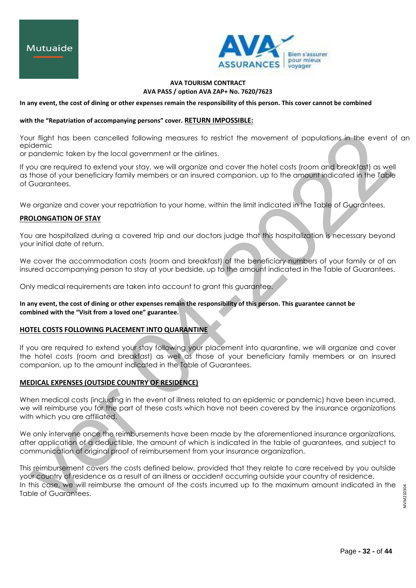

**In any event, the cost of dining or other expenses remain the responsibility of this person. This cover cannot be combined** 

# **with the "Repatriation of accompanying persons" cover. RETURN IMPOSSIBLE:**

Your flight has been cancelled following measures to restrict the movement of populations in the event of an epidemic

or pandemic taken by the local government or the airlines.

If you are required to extend your stay, we will organize and cover the hotel costs (room and breakfast) as well as those of your beneficiary family members or an insured companion, up to the amount indicated in the Table of Guarantees.

We organize and cover your repatriation to your home, within the limit indicated in the Table of Guarantees.

## **PROLONGATION OF STAY**

You are hospitalized during a covered trip and our doctors judge that this hospitalization is necessary beyond your initial date of return.

We cover the accommodation costs (room and breakfast) of the beneficiary numbers of your family or of an insured accompanying person to stay at your bedside, up to the amount indicated in the Table of Guarantees.

Only medical requirements are taken into account to grant this guarantee.

# **In any event, the cost of dining or other expenses remain the responsibility of this person. This guarantee cannot be combined with the "Visit from a loved one" guarantee.**

# **HOTEL COSTS FOLLOWING PLACEMENT INTO QUARANTINE**

If you are required to extend your stay following your placement into quarantine, we will organize and cover the hotel costs (room and breakfast) as well as those of your beneficiary family members or an insured companion, up to the amount indicated in the Table of Guarantees.

# **MEDICAL EXPENSES (OUTSIDE COUNTRY OF RESIDENCE)**

When medical costs (including in the event of illness related to an epidemic or pandemic) have been incurred, we will reimburse you for the part of these costs which have not been covered by the insurance organizations with which you are affiliated.

We only intervene once the reimbursements have been made by the aforementioned insurance organizations, after application of a deductible, the amount of which is indicated in the table of guarantees, and subject to communication of original proof of reimbursement from your insurance organization.

This reimbursement covers the costs defined below, provided that they relate to care received by you outside your country of residence as a result of an illness or accident occurring outside your country of residence. In this case, we will reimburse the amount of the costs incurred up to the maximum amount indicated in the Table of Guarantees.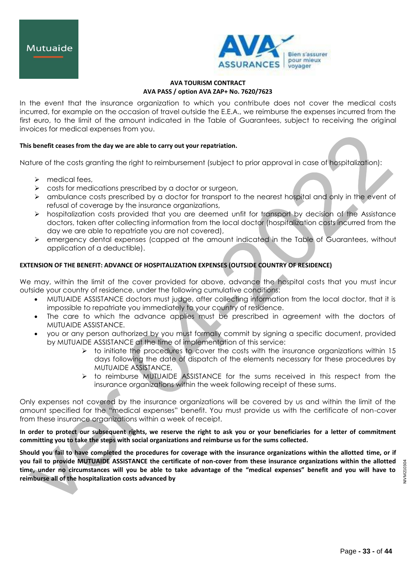

In the event that the insurance organization to which you contribute does not cover the medical costs incurred, for example on the occasion of travel outside the E.E.A., we reimburse the expenses incurred from the first euro, to the limit of the amount indicated in the Table of Guarantees, subject to receiving the original invoices for medical expenses from you.

# **This benefit ceases from the day we are able to carry out your repatriation.**

Nature of the costs granting the right to reimbursement (subject to prior approval in case of hospitalization):

- $\triangleright$  medical fees,
- $\triangleright$  costs for medications prescribed by a doctor or surgeon,
- $\triangleright$  ambulance costs prescribed by a doctor for transport to the nearest hospital and only in the event of refusal of coverage by the insurance organizations,
- $\triangleright$  hospitalization costs provided that you are deemed unfit for transport by decision of the Assistance doctors, taken after collecting information from the local doctor (hospitalization costs incurred from the day we are able to repatriate you are not covered),
- $\triangleright$  emergency dental expenses (capped at the amount indicated in the Table of Guarantees, without application of a deductible).

# **EXTENSION OF THE BENEFIT: ADVANCE OF HOSPITALIZATION EXPENSES (OUTSIDE COUNTRY OF RESIDENCE)**

We may, within the limit of the cover provided for above, advance the hospital costs that you must incur outside your country of residence, under the following cumulative conditions:

- MUTUAIDE ASSISTANCE doctors must judge, after collecting information from the local doctor, that it is impossible to repatriate you immediately to your country of residence.
- The care to which the advance applies must be prescribed in agreement with the doctors of MUTUAIDE ASSISTANCE.
- you or any person authorized by you must formally commit by signing a specific document, provided by MUTUAIDE ASSISTANCE at the time of implementation of this service:
	- $\triangleright$  to initiate the procedures to cover the costs with the insurance organizations within 15 days following the date of dispatch of the elements necessary for these procedures by MUTUAIDE ASSISTANCE,
	- $\triangleright$  to reimburse MUTUAIDE ASSISTANCE for the sums received in this respect from the insurance organizations within the week following receipt of these sums.

Only expenses not covered by the insurance organizations will be covered by us and within the limit of the amount specified for the "medical expenses" benefit. You must provide us with the certificate of non-cover from these insurance organizations within a week of receipt.

**In order to protect our subsequent rights, we reserve the right to ask you or your beneficiaries for a letter of commitment committing you to take the steps with social organizations and reimburse us for the sums collected.**

**Should you fail to have completed the procedures for coverage with the insurance organizations within the allotted time, or if you fail to provide MUTUAIDE ASSISTANCE the certificate of non-cover from these insurance organizations within the allotted time, under no circumstances will you be able to take advantage of the "medical expenses" benefit and you will have to reimburse all of the hospitalization costs advanced by**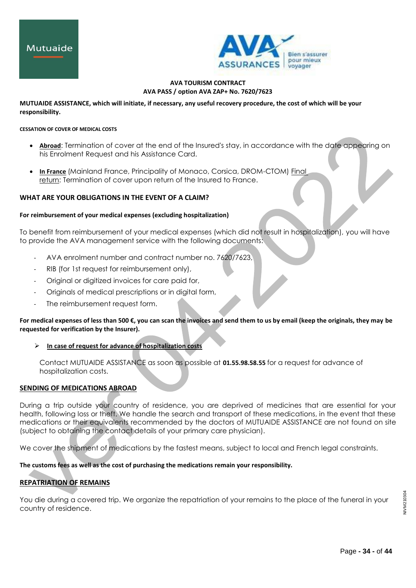

## **MUTUAIDE ASSISTANCE, which will initiate, if necessary, any useful recovery procedure, the cost of which will be your responsibility.**

#### **CESSATION OF COVER OF MEDICAL COSTS**

- **Abroad:** Termination of cover at the end of the Insured's stay, in accordance with the date appearing on his Enrolment Request and his Assistance Card.
- **In France** (Mainland France, Principality of Monaco, Corsica, DROM-CTOM) Final return: Termination of cover upon return of the Insured to France.

# **WHAT ARE YOUR OBLIGATIONS IN THE EVENT OF A CLAIM?**

#### **For reimbursement of your medical expenses (excluding hospitalization)**

To benefit from reimbursement of your medical expenses (which did not result in hospitalization), you will have to provide the AVA management service with the following documents:

- AVA enrolment number and contract number no. 7620/7623,
- RIB (for 1st request for reimbursement only),
- Original or digitized invoices for care paid for,
- Originals of medical prescriptions or in digital form,
- The reimbursement request form.

**For medical expenses of less than 500 €, you can scan the invoices and send them to us by email (keep the originals, they may be requested for verification by the Insurer).**

**In case of request for advance of hospitalization costs**

Contact MUTUAIDE ASSISTANCE as soon as possible at **01.55.98.58.55** for a request for advance of hospitalization costs.

# **SENDING OF MEDICATIONS ABROAD**

During a trip outside your country of residence, you are deprived of medicines that are essential for your health, following loss or theft. We handle the search and transport of these medications, in the event that these medications or their equivalents recommended by the doctors of MUTUAIDE ASSISTANCE are not found on site (subject to obtaining the contact details of your primary care physician).

We cover the shipment of medications by the fastest means, subject to local and French legal constraints.

**The customs fees as well as the cost of purchasing the medications remain your responsibility.**

# **REPATRIATION OF REMAINS**

You die during a covered trip. We organize the repatriation of your remains to the place of the funeral in your country of residence.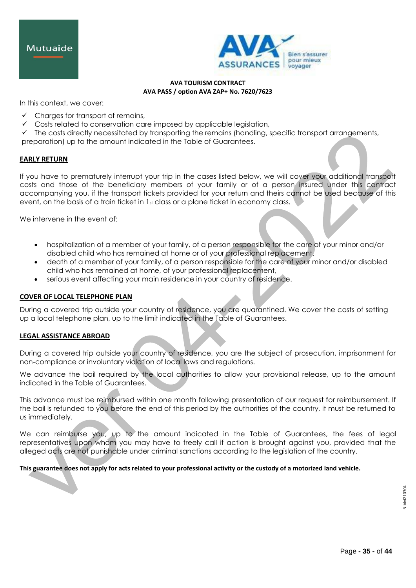



In this context, we cover:

- $\checkmark$  Charges for transport of remains,
- $\checkmark$  Costs related to conservation care imposed by applicable legislation,
- $\checkmark$  The costs directly necessitated by transporting the remains (handling, specific transport arrangements, preparation) up to the amount indicated in the Table of Guarantees.

# **EARLY RETURN**

If you have to prematurely interrupt your trip in the cases listed below, we will cover your additional transport costs and those of the beneficiary members of your family or of a person insured under this contract accompanying you, if the transport tickets provided for your return and theirs cannot be used because of this event, on the basis of a train ticket in  $1<sub>st</sub>$  class or a plane ticket in economy class.

We intervene in the event of:

- hospitalization of a member of your family, of a person responsible for the care of your minor and/or disabled child who has remained at home or of your professional replacement.
- death of a member of your family, of a person responsible for the care of your minor and/or disabled child who has remained at home, of your professional replacement,
- serious event affecting your main residence in your country of residence.

#### **COVER OF LOCAL TELEPHONE PLAN**

During a covered trip outside your country of residence, you are quarantined. We cover the costs of setting up a local telephone plan, up to the limit indicated in the Table of Guarantees.

# **LEGAL ASSISTANCE ABROAD**

During a covered trip outside your country of residence, you are the subject of prosecution, imprisonment for non-compliance or involuntary violation of local laws and regulations.

We advance the bail required by the local authorities to allow your provisional release, up to the amount indicated in the Table of Guarantees.

This advance must be reimbursed within one month following presentation of our request for reimbursement. If the bail is refunded to you before the end of this period by the authorities of the country, it must be returned to us immediately.

We can reimburse you, up to the amount indicated in the Table of Guarantees, the fees of legal representatives upon whom you may have to freely call if action is brought against you, provided that the alleged acts are not punishable under criminal sanctions according to the legislation of the country.

**This guarantee does not apply for acts related to your professional activity or the custody of a motorized land vehicle.**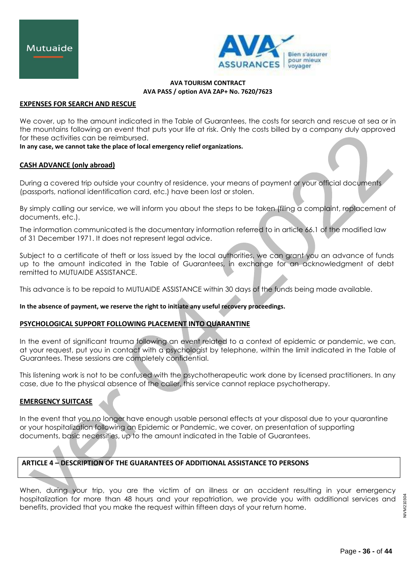

## **EXPENSES FOR SEARCH AND RESCUE**

We cover, up to the amount indicated in the Table of Guarantees, the costs for search and rescue at sea or in the mountains following an event that puts your life at risk. Only the costs billed by a company duly approved for these activities can be reimbursed.

#### **In any case, we cannot take the place of local emergency relief organizations.**

## **CASH ADVANCE (only abroad)**

During a covered trip outside your country of residence, your means of payment or your official documents (passports, national identification card, etc.) have been lost or stolen.

By simply calling our service, we will inform you about the steps to be taken (filing a complaint, replacement of documents, etc.).

The information communicated is the documentary information referred to in article 66.1 of the modified law of 31 December 1971. It does not represent legal advice.

Subject to a certificate of theft or loss issued by the local authorities, we can grant you an advance of funds up to the amount indicated in the Table of Guarantees, in exchange for an acknowledgment of debt remitted to MUTUAIDE ASSISTANCE.

This advance is to be repaid to MUTUAIDE ASSISTANCE within 30 days of the funds being made available.

#### **In the absence of payment, we reserve the right to initiate any useful recovery proceedings.**

# **PSYCHOLOGICAL SUPPORT FOLLOWING PLACEMENT INTO QUARANTINE**

In the event of significant trauma following an event related to a context of epidemic or pandemic, we can, at your request, put you in contact with a psychologist by telephone, within the limit indicated in the Table of Guarantees. These sessions are completely confidential.

This listening work is not to be confused with the psychotherapeutic work done by licensed practitioners. In any case, due to the physical absence of the caller, this service cannot replace psychotherapy.

# **EMERGENCY SUITCASE**

In the event that you no longer have enough usable personal effects at your disposal due to your quarantine or your hospitalization following an Epidemic or Pandemic, we cover, on presentation of supporting documents, basic necessities, up to the amount indicated in the Table of Guarantees.

# **ARTICLE 4 – DESCRIPTION OF THE GUARANTEES OF ADDITIONAL ASSISTANCE TO PERSONS**

When, during your trip, you are the victim of an illness or an accident resulting in your emergency hospitalization for more than 48 hours and your repatriation, we provide you with additional services and benefits, provided that you make the request within fifteen days of your return home.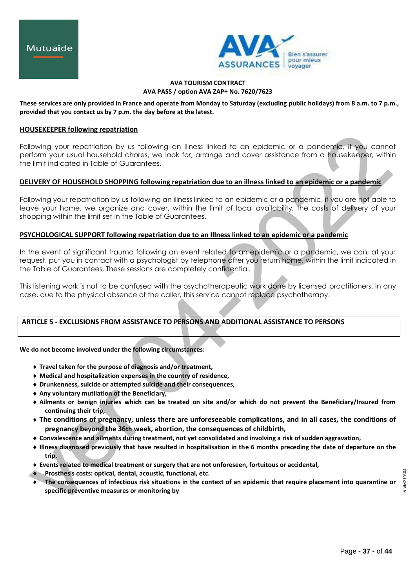

## **These services are only provided in France and operate from Monday to Saturday (excluding public holidays) from 8 a.m. to 7 p.m., provided that you contact us by 7 p.m. the day before at the latest.**

## **HOUSEKEEPER following repatriation**

Following your repatriation by us following an Illness linked to an epidemic or a pandemic, if you cannot perform your usual household chores, we look for, arrange and cover assistance from a housekeeper, within the limit indicated in Table of Guarantees.

# **DELIVERY OF HOUSEHOLD SHOPPING following repatriation due to an illness linked to an epidemic or a pandemic**

Following your repatriation by us following an illness linked to an epidemic or a pandemic, if you are not able to leave your home, we organize and cover, within the limit of local availability, the costs of delivery of your shopping within the limit set in the Table of Guarantees.

# **PSYCHOLOGICAL SUPPORT following repatriation due to an Illness linked to an epidemic or a pandemic**

In the event of significant trauma following an event related to an epidemic or a pandemic, we can, at your request, put you in contact with a psychologist by telephone after you return home, within the limit indicated in the Table of Guarantees. These sessions are completely confidential.

This listening work is not to be confused with the psychotherapeutic work done by licensed practitioners. In any case, due to the physical absence of the caller, this service cannot replace psychotherapy.

# **ARTICLE 5 - EXCLUSIONS FROM ASSISTANCE TO PERSONS AND ADDITIONAL ASSISTANCE TO PERSONS**

#### **We do not become involved under the following circumstances:**

- **Travel taken for the purpose of diagnosis and/or treatment,**
- **Medical and hospitalization expenses in the country of residence,**
- **Drunkenness, suicide or attempted suicide and their consequences,**
- **Any voluntary mutilation of the Beneficiary,**
- **Ailments or benign injuries which can be treated on site and/or which do not prevent the Beneficiary/Insured from continuing their trip,**
- **The conditions of pregnancy, unless there are unforeseeable complications, and in all cases, the conditions of pregnancy beyond the 36th week, abortion, the consequences of childbirth,**
- **Convalescence and ailments during treatment, not yet consolidated and involving a risk of sudden aggravation,**
- **Illness diagnosed previously that have resulted in hospitalisation in the 6 months preceding the date of departure on the trip,**
- **Events related to medical treatment or surgery that are not unforeseen, fortuitous or accidental,**
- **Prosthesis costs: optical, dental, acoustic, functional, etc.**
- **The consequences of infectious risk situations in the context of an epidemic that require placement into quarantine or specific preventive measures or monitoring by**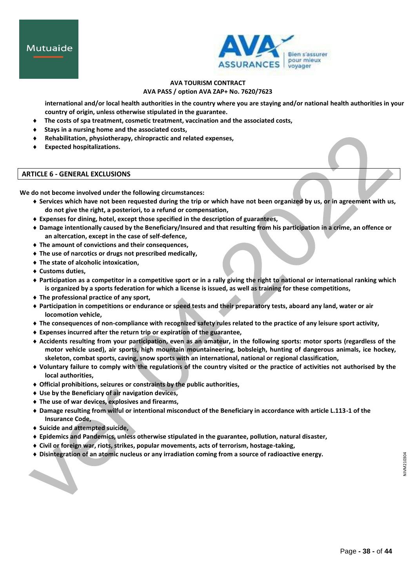

**international and/or local health authorities in the country where you are staying and/or national health authorities in your country of origin, unless otherwise stipulated in the guarantee.**

- **The costs of spa treatment, cosmetic treatment, vaccination and the associated costs,**
- **Stays in a nursing home and the associated costs,**
- **Rehabilitation, physiotherapy, chiropractic and related expenses,**
- **Expected hospitalizations.**

## **ARTICLE 6 - GENERAL EXCLUSIONS**

**We do not become involved under the following circumstances:**

- **Services which have not been requested during the trip or which have not been organized by us, or in agreement with us, do not give the right, a posteriori, to a refund or compensation,**
- **Expenses for dining, hotel, except those specified in the description of guarantees,**
- **Damage intentionally caused by the Beneficiary/Insured and that resulting from his participation in a crime, an offence or an altercation, except in the case of self-defence,**
- **The amount of convictions and their consequences,**
- **The use of narcotics or drugs not prescribed medically,**
- **The state of alcoholic intoxication,**
- **Customs duties,**
- **Participation as a competitor in a competitive sport or in a rally giving the right to national or international ranking which is organized by a sports federation for which a license is issued, as well as training for these competitions,**
- **The professional practice of any sport,**
- **Participation in competitions or endurance or speed tests and their preparatory tests, aboard any land, water or air locomotion vehicle,**
- **The consequences of non-compliance with recognized safety rules related to the practice of any leisure sport activity,**
- **Expenses incurred after the return trip or expiration of the guarantee,**
- **Accidents resulting from your participation, even as an amateur, in the following sports: motor sports (regardless of the motor vehicle used), air sports, high mountain mountaineering, bobsleigh, hunting of dangerous animals, ice hockey, skeleton, combat sports, caving, snow sports with an international, national or regional classification,**
- **Voluntary failure to comply with the regulations of the country visited or the practice of activities not authorised by the local authorities,**
- **Official prohibitions, seizures or constraints by the public authorities,**
- **Use by the Beneficiary of air navigation devices,**
- **The use of war devices, explosives and firearms,**
- **Damage resulting from wilful or intentional misconduct of the Beneficiary in accordance with article L.113-1 of the Insurance Code,**
- **Suicide and attempted suicide,**
- **Epidemics and Pandemics, unless otherwise stipulated in the guarantee, pollution, natural disaster,**
- **Civil or foreign war, riots, strikes, popular movements, acts of terrorism, hostage-taking,**
- **Disintegration of an atomic nucleus or any irradiation coming from a source of radioactive energy.**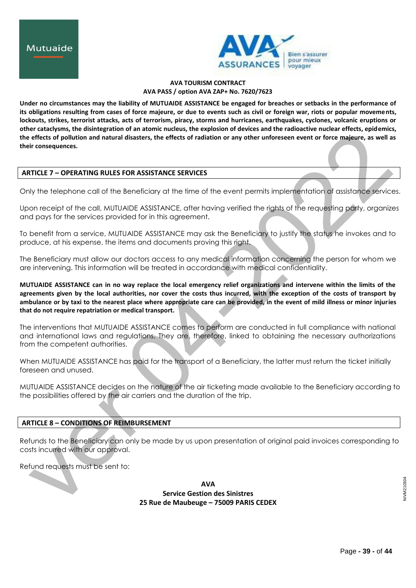

**Under no circumstances may the liability of MUTUAIDE ASSISTANCE be engaged for breaches or setbacks in the performance of its obligations resulting from cases of force majeure, or due to events such as civil or foreign war, riots or popular movements, lockouts, strikes, terrorist attacks, acts of terrorism, piracy, storms and hurricanes, earthquakes, cyclones, volcanic eruptions or other cataclysms, the disintegration of an atomic nucleus, the explosion of devices and the radioactive nuclear effects, epidemics, the effects of pollution and natural disasters, the effects of radiation or any other unforeseen event or force majeure, as well as their consequences.**

## **ARTICLE 7 – OPERATING RULES FOR ASSISTANCE SERVICES**

Only the telephone call of the Beneficiary at the time of the event permits implementation of assistance services.

Upon receipt of the call, MUTUAIDE ASSISTANCE, after having verified the rights of the requesting party, organizes and pays for the services provided for in this agreement.

To benefit from a service, MUTUAIDE ASSISTANCE may ask the Beneficiary to justify the status he invokes and to produce, at his expense, the items and documents proving this right.

The Beneficiary must allow our doctors access to any medical information concerning the person for whom we are intervening. This information will be treated in accordance with medical confidentiality.

**MUTUAIDE ASSISTANCE can in no way replace the local emergency relief organizations and intervene within the limits of the agreements given by the local authorities, nor cover the costs thus incurred, with the exception of the costs of transport by ambulance or by taxi to the nearest place where appropriate care can be provided, in the event of mild illness or minor injuries that do not require repatriation or medical transport.**

The interventions that MUTUAIDE ASSISTANCE comes to perform are conducted in full compliance with national and international laws and regulations. They are, therefore, linked to obtaining the necessary authorizations from the competent authorities.

When MUTUAIDE ASSISTANCE has paid for the transport of a Beneficiary, the latter must return the ticket initially foreseen and unused.

MUTUAIDE ASSISTANCE decides on the nature of the air ticketing made available to the Beneficiary according to the possibilities offered by the air carriers and the duration of the trip.

# **ARTICLE 8 – CONDITIONS OF REIMBURSEMENT**

Refunds to the Beneficiary can only be made by us upon presentation of original paid invoices corresponding to costs incurred with our approval.

Refund requests must be sent to:

**AVA Service Gestion des Sinistres 25 Rue de Maubeuge – 75009 PARIS CEDEX**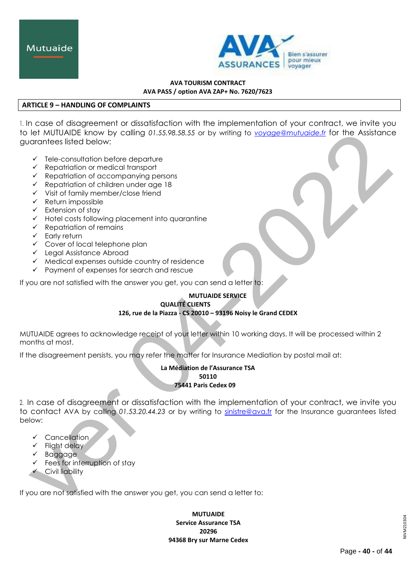

# **ARTICLE 9 – HANDLING OF COMPLAINTS**

1. In case of disagreement or dissatisfaction with the implementation of your contract, we invite you to let MUTUAIDE know by calling *01.55.98.58.55* or by writing to *[voyage@mutuaide.fr](mailto:voyage@mutuaide.fr)* for the Assistance guarantees listed below:

- $\checkmark$  Tele-consultation before departure
- $\checkmark$  Repatriation or medical transport
- $\checkmark$  Repatriation of accompanying persons
- $\checkmark$  Repatriation of children under age 18
- $\checkmark$  Visit of family member/close friend
- $\checkmark$  Return impossible
- $\checkmark$  Extension of stay
- $\checkmark$  Hotel costs following placement into quarantine
- $\checkmark$  Repatriation of remains
- $\checkmark$  Early return
- $\checkmark$  Cover of local telephone plan
- Legal Assistance Abroad
- $\checkmark$  Medical expenses outside country of residence
- $\checkmark$  Payment of expenses for search and rescue

If you are not satisfied with the answer you get, you can send a letter to:

# **MUTUAIDE SERVICE QUALITÉ CLIENTS**

# **126, rue de la Piazza - CS 20010 – 93196 Noisy le Grand CEDEX**

MUTUAIDE agrees to acknowledge receipt of your letter within 10 working days. It will be processed within 2 months at most.

If the disagreement persists, you may refer the matter for Insurance Mediation by postal mail at:

**La Médiation de l'Assurance TSA 50110 75441 Paris Cedex 09**

2. In case of disagreement or dissatisfaction with the implementation of your contract, we invite you to contact AVA by calling *01.53.20.44.23* or by writing to [sinistre@ava.fr](mailto:gestion-assurance@mutuaide.fr) for the Insurance guarantees listed below:

- $\checkmark$  Cancellation
- $\checkmark$  Flight delay
- Baggage
- $\checkmark$  Fees for interruption of stay
- $\checkmark$  Civil liability

If you are not satisfied with the answer you get, you can send a letter to:

**MUTUAIDE Service Assurance TSA 20296 94368 Bry sur Marne Cedex**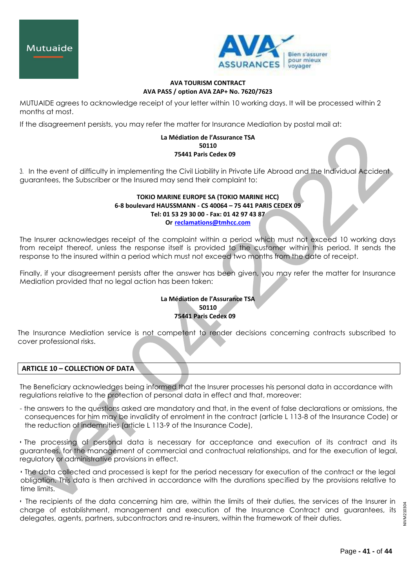



MUTUAIDE agrees to acknowledge receipt of your letter within 10 working days. It will be processed within 2 months at most.

If the disagreement persists, you may refer the matter for Insurance Mediation by postal mail at:

#### **La Médiation de l'Assurance TSA 50110 75441 Paris Cedex 09**

3. In the event of difficulty in implementing the Civil Liability in Private Life Abroad and the Individual Accident guarantees, the Subscriber or the Insured may send their complaint to:

# **TOKIO MARINE EUROPE SA (TOKIO MARINE HCC) 6-8 boulevard HAUSSMANN - CS 40064 – 75 441 PARIS CEDEX 09 Tel: 01 53 29 30 00 - Fax: 01 42 97 43 87 Or [reclamations@tmhcc.com](mailto:reclamations@tmhcc.com)**

The Insurer acknowledges receipt of the complaint within a period which must not exceed 10 working days from receipt thereof, unless the response itself is provided to the customer within this period. It sends the response to the insured within a period which must not exceed two months from the date of receipt.

Finally, if your disagreement persists after the answer has been given, you may refer the matter for Insurance Mediation provided that no legal action has been taken:

# **La Médiation de l'Assurance TSA 50110 75441 Paris Cedex 09**

The Insurance Mediation service is not competent to render decisions concerning contracts subscribed to cover professional risks.

**ARTICLE 10 – COLLECTION OF DATA**

The Beneficiary acknowledges being informed that the Insurer processes his personal data in accordance with regulations relative to the protection of personal data in effect and that, moreover:

- the answers to the questions asked are mandatory and that, in the event of false declarations or omissions, the consequences for him may be invalidity of enrolment in the contract (article L 113-8 of the Insurance Code) or the reduction of indemnities (article L 113-9 of the Insurance Code),

• The processing of personal data is necessary for acceptance and execution of its contract and its guarantees, for the management of commercial and contractual relationships, and for the execution of legal, regulatory or administrative provisions in effect.

• The data collected and processed is kept for the period necessary for execution of the contract or the legal obligation. This data is then archived in accordance with the durations specified by the provisions relative to time limits.

• The recipients of the data concerning him are, within the limits of their duties, the services of the Insurer in charge of establishment, management and execution of the Insurance Contract and guarantees, its delegates, agents, partners, subcontractors and re-insurers, within the framework of their duties.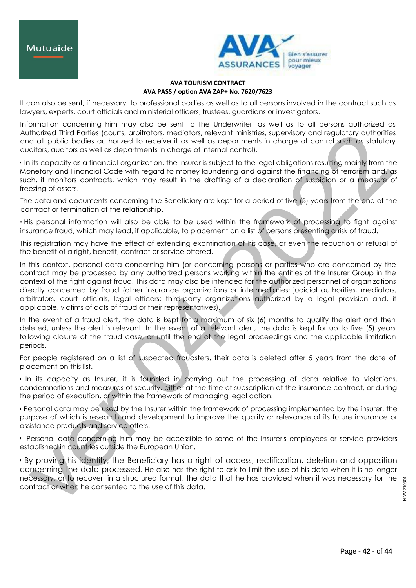

It can also be sent, if necessary, to professional bodies as well as to all persons involved in the contract such as lawyers, experts, court officials and ministerial officers, trustees, guardians or investigators.

Information concerning him may also be sent to the Underwriter, as well as to all persons authorized as Authorized Third Parties (courts, arbitrators, mediators, relevant ministries, supervisory and regulatory authorities and all public bodies authorized to receive it as well as departments in charge of control such as statutory auditors, auditors as well as departments in charge of internal control).

• In its capacity as a financial organization, the Insurer is subject to the legal obligations resulting mainly from the Monetary and Financial Code with regard to money laundering and against the financing of terrorism and, as such, it monitors contracts, which may result in the drafting of a declaration of suspicion or a measure of freezing of assets.

The data and documents concerning the Beneficiary are kept for a period of five (5) years from the end of the contract or termination of the relationship.

• His personal information will also be able to be used within the framework of processing to fight against insurance fraud, which may lead, if applicable, to placement on a list of persons presenting a risk of fraud.

This registration may have the effect of extending examination of his case, or even the reduction or refusal of the benefit of a right, benefit, contract or service offered.

In this context, personal data concerning him (or concerning persons or parties who are concerned by the contract may be processed by any authorized persons working within the entities of the Insurer Group in the context of the fight against fraud. This data may also be intended for the authorized personnel of organizations directly concerned by fraud (other insurance organizations or intermediaries; judicial authorities, mediators, arbitrators, court officials, legal officers; third-party organizations authorized by a legal provision and, if applicable, victims of acts of fraud or their representatives).

In the event of a fraud alert, the data is kept for a maximum of six (6) months to qualify the alert and then deleted, unless the alert is relevant. In the event of a relevant alert, the data is kept for up to five (5) years following closure of the fraud case, or until the end of the legal proceedings and the applicable limitation periods.

For people registered on a list of suspected fraudsters, their data is deleted after 5 years from the date of placement on this list.

• In its capacity as Insurer, it is founded in carrying out the processing of data relative to violations, condemnations and measures of security, either at the time of subscription of the insurance contract, or during the period of execution, or within the framework of managing legal action.

• Personal data may be used by the Insurer within the framework of processing implemented by the insurer, the purpose of which is research and development to improve the quality or relevance of its future insurance or assistance products and service offers.

• Personal data concerning him may be accessible to some of the Insurer's employees or service providers established in countries outside the European Union.

• By proving his identity, the Beneficiary has a right of access, rectification, deletion and opposition concerning the data processed. He also has the right to ask to limit the use of his data when it is no longer necessary, or to recover, in a structured format, the data that he has provided when it was necessary for the contract or when he consented to the use of this data.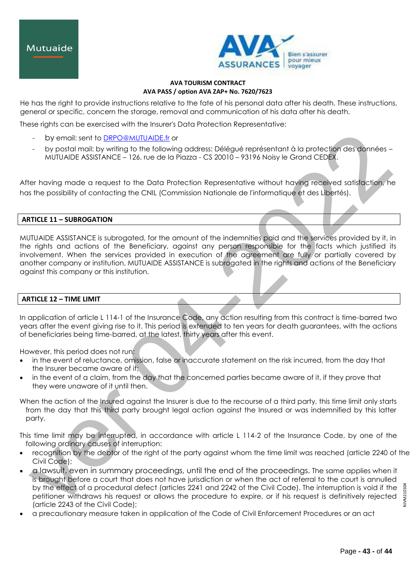

He has the right to provide instructions relative to the fate of his personal data after his death. These instructions, general or specific, concern the storage, removal and communication of his data after his death.

These rights can be exercised with the Insurer's Data Protection Representative:

- by email: sent to [DRPO@MUTUAIDE.fr](mailto:DRPO@MUTUAIDE.fr) or
- by postal mail: by writing to the following address: Délégué représentant à la protection des données MUTUAIDE ASSISTANCE – 126, rue de la Piazza - CS 20010 – 93196 Noisy le Grand CEDEX.

After having made a request to the Data Protection Representative without having received satisfaction, he has the possibility of contacting the CNIL (Commission Nationale de l'informatique et des Libertés).

# **ARTICLE 11 – SUBROGATION**

MUTUAIDE ASSISTANCE is subrogated, for the amount of the indemnities paid and the services provided by it, in the rights and actions of the Beneficiary, against any person responsible for the facts which justified its involvement. When the services provided in execution of the agreement are fully or partially covered by another company or institution, MUTUAIDE ASSISTANCE is subrogated in the rights and actions of the Beneficiary against this company or this institution.

# **ARTICLE 12 – TIME LIMIT**

In application of article L 114-1 of the Insurance Code, any action resulting from this contract is time-barred two years after the event giving rise to it. This period is extended to ten years for death guarantees, with the actions of beneficiaries being time-barred, at the latest, thirty years after this event.

However, this period does not run:

- in the event of reluctance, omission, false or inaccurate statement on the risk incurred, from the day that the Insurer became aware of it;
- in the event of a claim, from the day that the concerned parties became aware of it, if they prove that they were unaware of it until then.

When the action of the Insured against the Insurer is due to the recourse of a third party, this time limit only starts from the day that this third party brought legal action against the Insured or was indemnified by this latter party.

This time limit may be interrupted, in accordance with article L 114-2 of the Insurance Code, by one of the following ordinary causes of interruption:

- recognition by the debtor of the right of the party against whom the time limit was reached (article 2240 of the Civil Code);
- a lawsuit, even in summary proceedings, until the end of the proceedings. The same applies when it is brought before a court that does not have jurisdiction or when the act of referral to the court is annulled by the effect of a procedural defect (articles 2241 and 2242 of the Civil Code). The interruption is void if the petitioner withdraws his request or allows the procedure to expire, or if his request is definitively rejected (article 2243 of the Civil Code);
- a precautionary measure taken in application of the Code of Civil Enforcement Procedures or an act